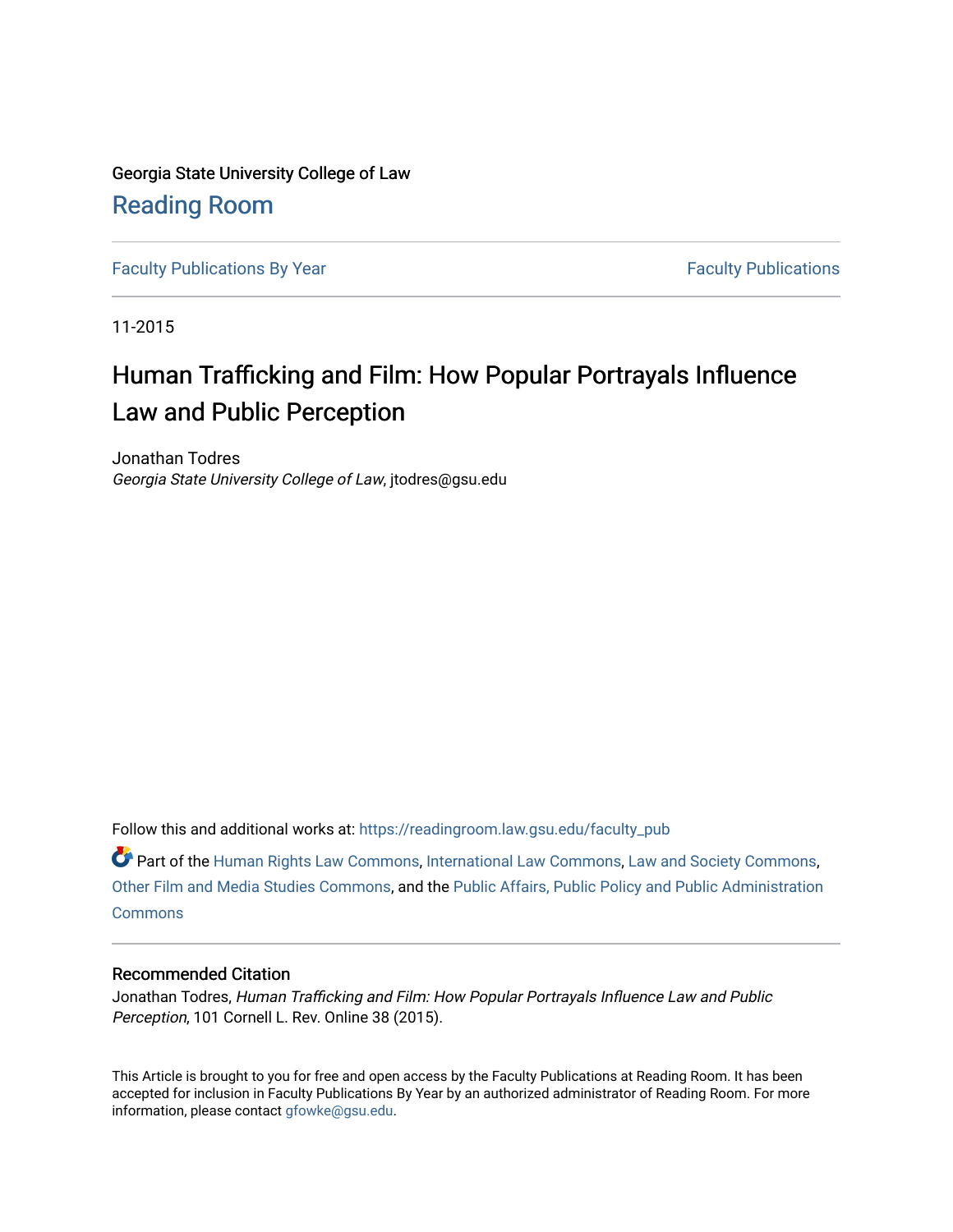Georgia State University College of Law [Reading Room](https://readingroom.law.gsu.edu/) 

[Faculty Publications By Year](https://readingroom.law.gsu.edu/faculty_pub) [Faculty Publications](https://readingroom.law.gsu.edu/faculty) **Faculty** Publications

11-2015

# Human Trafficking and Film: How Popular Portrayals Influence Law and Public Perception

Jonathan Todres Georgia State University College of Law, jtodres@gsu.edu

Follow this and additional works at: [https://readingroom.law.gsu.edu/faculty\\_pub](https://readingroom.law.gsu.edu/faculty_pub?utm_source=readingroom.law.gsu.edu%2Ffaculty_pub%2F2304&utm_medium=PDF&utm_campaign=PDFCoverPages) 

Part of the [Human Rights Law Commons,](http://network.bepress.com/hgg/discipline/847?utm_source=readingroom.law.gsu.edu%2Ffaculty_pub%2F2304&utm_medium=PDF&utm_campaign=PDFCoverPages) [International Law Commons](http://network.bepress.com/hgg/discipline/609?utm_source=readingroom.law.gsu.edu%2Ffaculty_pub%2F2304&utm_medium=PDF&utm_campaign=PDFCoverPages), [Law and Society Commons,](http://network.bepress.com/hgg/discipline/853?utm_source=readingroom.law.gsu.edu%2Ffaculty_pub%2F2304&utm_medium=PDF&utm_campaign=PDFCoverPages) [Other Film and Media Studies Commons](http://network.bepress.com/hgg/discipline/565?utm_source=readingroom.law.gsu.edu%2Ffaculty_pub%2F2304&utm_medium=PDF&utm_campaign=PDFCoverPages), and the [Public Affairs, Public Policy and Public Administration](http://network.bepress.com/hgg/discipline/393?utm_source=readingroom.law.gsu.edu%2Ffaculty_pub%2F2304&utm_medium=PDF&utm_campaign=PDFCoverPages) **[Commons](http://network.bepress.com/hgg/discipline/393?utm_source=readingroom.law.gsu.edu%2Ffaculty_pub%2F2304&utm_medium=PDF&utm_campaign=PDFCoverPages)** 

# Recommended Citation

Jonathan Todres, Human Trafficking and Film: How Popular Portrayals Influence Law and Public Perception, 101 Cornell L. Rev. Online 38 (2015).

This Article is brought to you for free and open access by the Faculty Publications at Reading Room. It has been accepted for inclusion in Faculty Publications By Year by an authorized administrator of Reading Room. For more information, please contact [gfowke@gsu.edu.](mailto:gfowke@gsu.edu)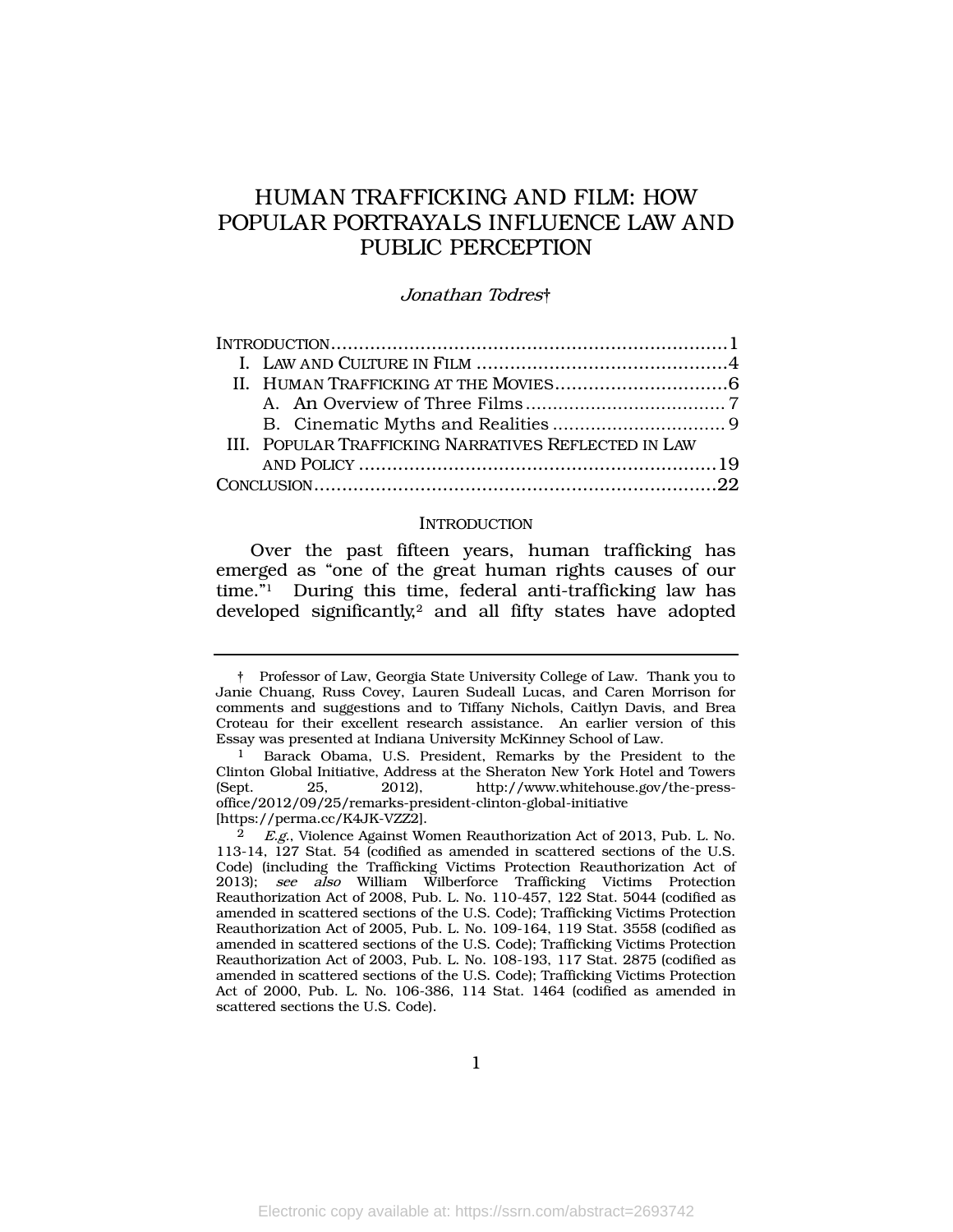# HUMAN TRAFFICKING AND FILM: HOW POPULAR PORTRAYALS INFLUENCE LAW AND PUBLIC PERCEPTION

#### Jonathan Todres†

|  | III. POPULAR TRAFFICKING NARRATIVES REFLECTED IN LAW |  |
|--|------------------------------------------------------|--|
|  |                                                      |  |
|  |                                                      |  |

#### <span id="page-1-0"></span>**INTRODUCTION**

Over the past fifteen years, human trafficking has emerged as "one of the great human rights causes of our time."<sup>1</sup> During this time, federal anti-trafficking law has developed significantly,<sup>2</sup> and all fifty states have adopted

1

<sup>†</sup> Professor of Law, Georgia State University College of Law. Thank you to Janie Chuang, Russ Covey, Lauren Sudeall Lucas, and Caren Morrison for comments and suggestions and to Tiffany Nichols, Caitlyn Davis, and Brea Croteau for their excellent research assistance. An earlier version of this Essay was presented at Indiana University McKinney School of Law.

<sup>1</sup> Barack Obama, U.S. President, Remarks by the President to the Clinton Global Initiative, Address at the Sheraton New York Hotel and Towers (Sept. 25, 2012), http://www.whitehouse.gov/the-pressoffice/2012/09/25/remarks-president-clinton-global-initiative [https://perma.cc/K4JK-VZZ2].

<sup>2</sup> E.g., Violence Against Women Reauthorization Act of 2013, Pub. L. No. 113-14, 127 Stat. 54 (codified as amended in scattered sections of the U.S. Code) (including the Trafficking Victims Protection Reauthorization Act of 2013); see also William Wilberforce Trafficking Victims Protection Reauthorization Act of 2008, Pub. L. No. 110-457, 122 Stat. 5044 (codified as amended in scattered sections of the U.S. Code); Trafficking Victims Protection Reauthorization Act of 2005, Pub. L. No. 109-164, 119 Stat. 3558 (codified as amended in scattered sections of the U.S. Code); Trafficking Victims Protection Reauthorization Act of 2003, Pub. L. No. 108-193, 117 Stat. 2875 (codified as amended in scattered sections of the U.S. Code); Trafficking Victims Protection Act of 2000, Pub. L. No. 106-386, 114 Stat. 1464 (codified as amended in scattered sections the U.S. Code).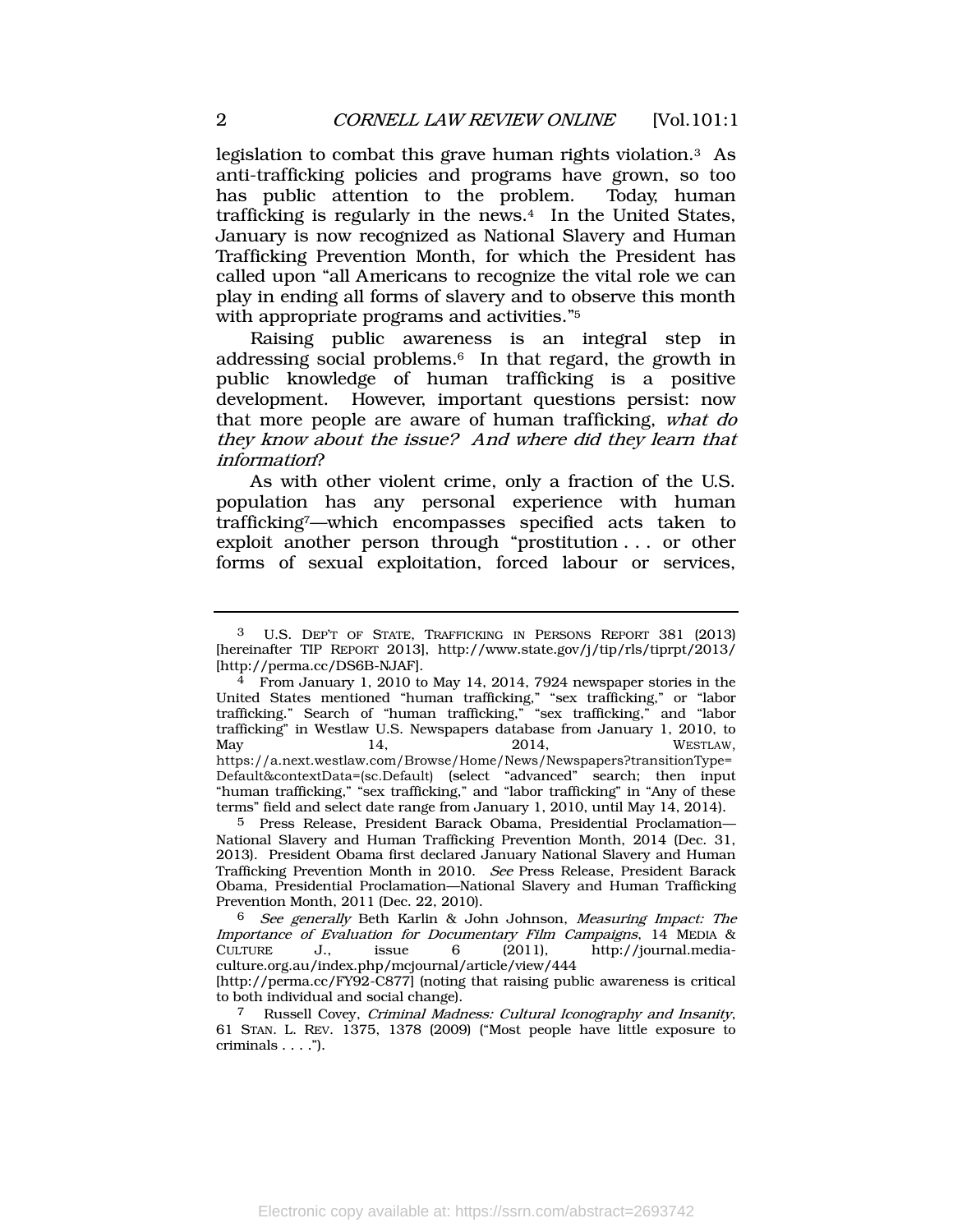<span id="page-2-2"></span>legislation to combat this grave human rights violation.<sup>3</sup> As anti-trafficking policies and programs have grown, so too has public attention to the problem. Today, human trafficking is regularly in the news.<sup>4</sup> In the United States, January is now recognized as National Slavery and Human Trafficking Prevention Month, for which the President has called upon "all Americans to recognize the vital role we can play in ending all forms of slavery and to observe this month with appropriate programs and activities." 5

<span id="page-2-0"></span>Raising public awareness is an integral step in addressing social problems.<sup>6</sup> In that regard, the growth in public knowledge of human trafficking is a positive development. However, important questions persist: now that more people are aware of human trafficking, what do they know about the issue? And where did they learn that information?

<span id="page-2-1"></span>As with other violent crime, only a fraction of the U.S. population has any personal experience with human trafficking7—which encompasses specified acts taken to exploit another person through "prostitution . . . or other forms of sexual exploitation, forced labour or services,

<sup>3</sup> U.S. DEP'T OF STATE, TRAFFICKING IN PERSONS REPORT 381 (2013) [hereinafter TIP REPORT 2013], http://www.state.gov/j/tip/rls/tiprpt/2013/ [http://perma.cc/DS6B-NJAF].

<sup>&</sup>lt;sup>4</sup> From January 1, 2010 to May 14, 2014, 7924 newspaper stories in the United States mentioned "human trafficking," "sex trafficking," or "labor trafficking." Search of "human trafficking," "sex trafficking," and "labor trafficking" in Westlaw U.S. Newspapers database from January 1, 2010, to May 14, 2014, WESTLAW, https://a.next.westlaw.com/Browse/Home/News/Newspapers?transitionType= Default&contextData=(sc.Default) (select "advanced" search; then input "human trafficking," "sex trafficking," and "labor trafficking" in "Any of these terms" field and select date range from January 1, 2010, until May 14, 2014).

<sup>5</sup> Press Release, President Barack Obama, Presidential Proclamation— National Slavery and Human Trafficking Prevention Month, 2014 (Dec. 31, 2013). President Obama first declared January National Slavery and Human Trafficking Prevention Month in 2010. See Press Release, President Barack Obama, Presidential Proclamation—National Slavery and Human Trafficking Prevention Month, 2011 (Dec. 22, 2010).

<sup>6</sup> See generally Beth Karlin & John Johnson, Measuring Impact: The Importance of Evaluation for Documentary Film Campaigns, 14 MEDIA & CULTURE J., issue 6 (2011), http://journal.mediaculture.org.au/index.php/mcjournal/article/view/444 [http://perma.cc/FY92-C877] (noting that raising public awareness is critical to both individual and social change).

<sup>7</sup> Russell Covey, Criminal Madness: Cultural Iconography and Insanity, 61 STAN. L. REV. 1375, 1378 (2009) ("Most people have little exposure to criminals . . . .").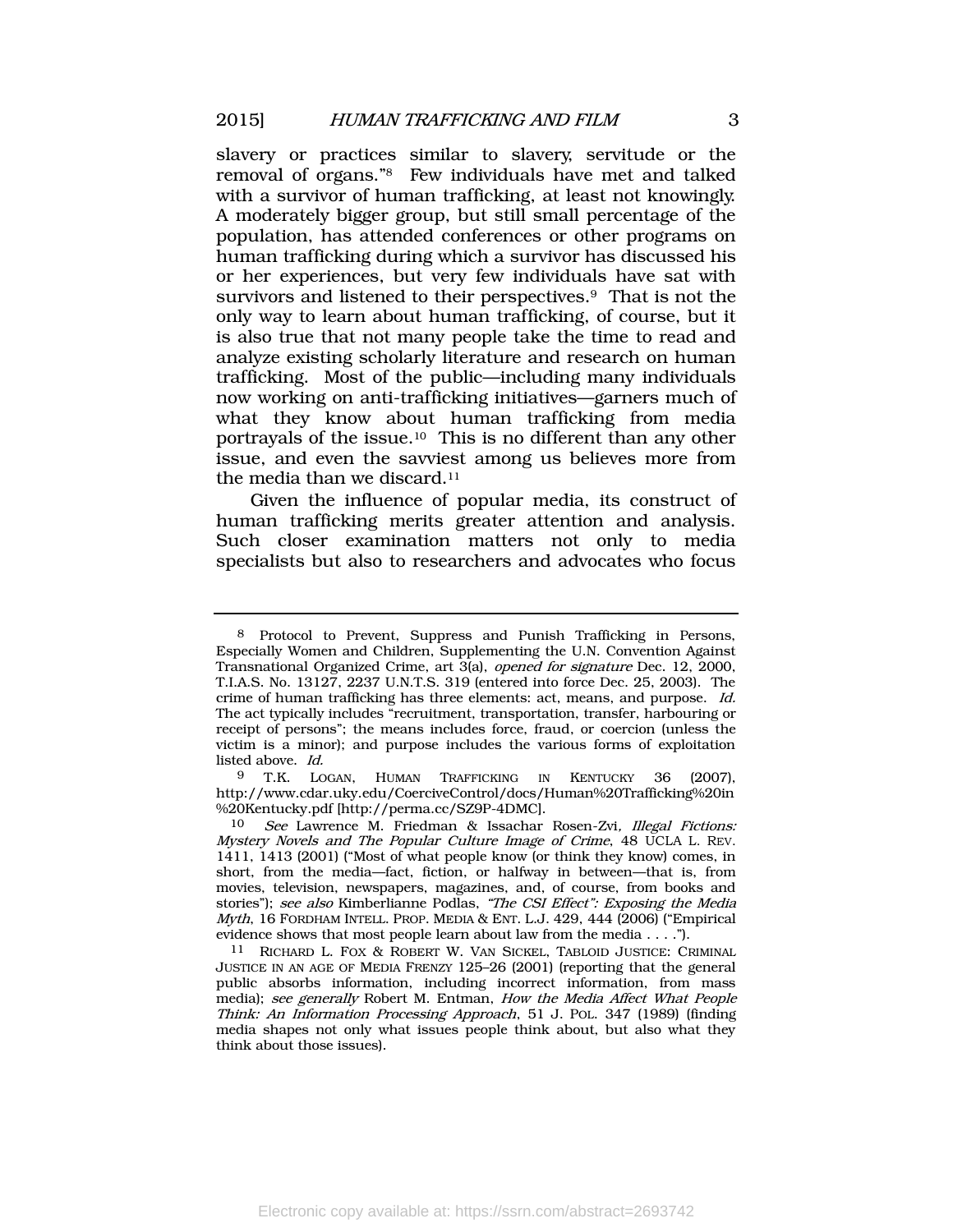slavery or practices similar to slavery, servitude or the removal of organs." <sup>8</sup> Few individuals have met and talked with a survivor of human trafficking, at least not knowingly. A moderately bigger group, but still small percentage of the population, has attended conferences or other programs on human trafficking during which a survivor has discussed his or her experiences, but very few individuals have sat with survivors and listened to their perspectives.<sup>9</sup> That is not the only way to learn about human trafficking, of course, but it is also true that not many people take the time to read and analyze existing scholarly literature and research on human trafficking. Most of the public—including many individuals now working on anti-trafficking initiatives—garners much of what they know about human trafficking from media portrayals of the issue.10 This is no different than any other issue, and even the savviest among us believes more from the media than we discard.<sup>11</sup>

Given the influence of popular media, its construct of human trafficking merits greater attention and analysis. Such closer examination matters not only to media specialists but also to researchers and advocates who focus

9 T.K. LOGAN, HUMAN TRAFFICKING IN KENTUCKY 36 (2007), http://www.cdar.uky.edu/CoerciveControl/docs/Human%20Trafficking%20in %20Kentucky.pdf [http://perma.cc/SZ9P-4DMC].

<sup>8</sup> Protocol to Prevent, Suppress and Punish Trafficking in Persons, Especially Women and Children, Supplementing the U.N. Convention Against Transnational Organized Crime, art 3(a), opened for signature Dec. 12, 2000, T.I.A.S. No. 13127, 2237 U.N.T.S. 319 (entered into force Dec. 25, 2003). The crime of human trafficking has three elements: act, means, and purpose. Id. The act typically includes "recruitment, transportation, transfer, harbouring or receipt of persons"; the means includes force, fraud, or coercion (unless the victim is a minor); and purpose includes the various forms of exploitation listed above. Id.

<sup>10</sup> See Lawrence M. Friedman & Issachar Rosen-Zvi, Illegal Fictions: Mystery Novels and The Popular Culture Image of Crime, 48 UCLA L. REV. 1411, 1413 (2001) ("Most of what people know (or think they know) comes, in short, from the media—fact, fiction, or halfway in between—that is, from movies, television, newspapers, magazines, and, of course, from books and stories"); see also Kimberlianne Podlas, "The CSI Effect": Exposing the Media  $Myth$ , 16 FORDHAM INTELL. PROP. MEDIA & ENT. L.J. 429, 444 (2006) ("Empirical evidence shows that most people learn about law from the media . . . .").

<sup>11</sup> RICHARD L. FOX & ROBERT W. VAN SICKEL, TABLOID JUSTICE: CRIMINAL JUSTICE IN AN AGE OF MEDIA FRENZY 125–26 (2001) (reporting that the general public absorbs information, including incorrect information, from mass media); see generally Robert M. Entman, How the Media Affect What People Think: An Information Processing Approach, 51 J. POL. 347 (1989) (finding media shapes not only what issues people think about, but also what they think about those issues).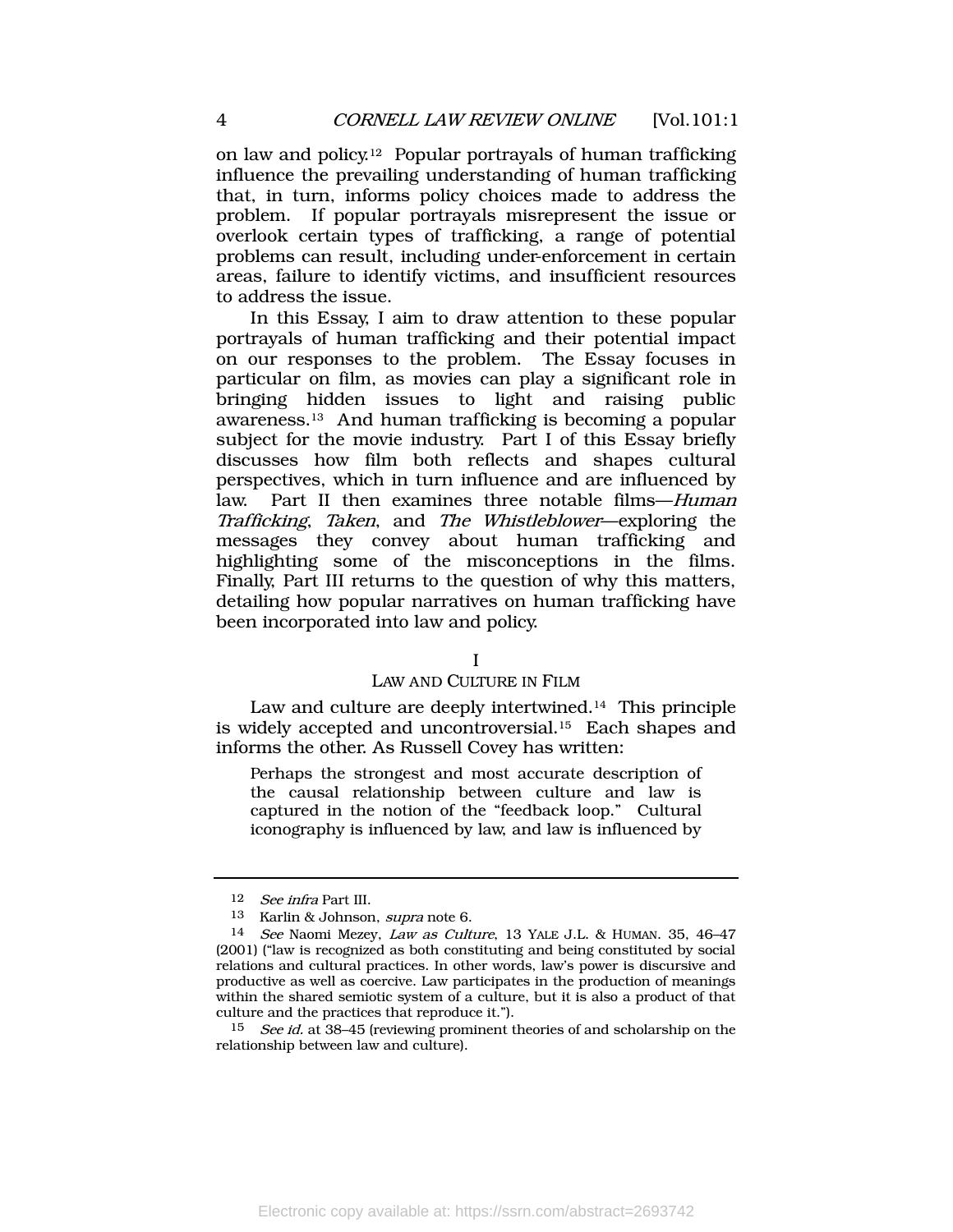on law and policy.<sup>12</sup> Popular portrayals of human trafficking influence the prevailing understanding of human trafficking that, in turn, informs policy choices made to address the problem. If popular portrayals misrepresent the issue or overlook certain types of trafficking, a range of potential problems can result, including under-enforcement in certain areas, failure to identify victims, and insufficient resources to address the issue.

In this Essay, I aim to draw attention to these popular portrayals of human trafficking and their potential impact on our responses to the problem. The Essay focuses in particular on film, as movies can play a significant role in bringing hidden issues to light and raising public awareness.<sup>13</sup> And human trafficking is becoming a popular subject for the movie industry. Part I of this Essay briefly discusses how film both reflects and shapes cultural perspectives, which in turn influence and are influenced by law. Part II then examines three notable films—Human Trafficking, Taken, and The Whistleblower—exploring the messages they convey about human trafficking and highlighting some of the misconceptions in the films. Finally, Part III returns to the question of why this matters, detailing how popular narratives on human trafficking have been incorporated into law and policy.

#### I

#### LAW AND CULTURE IN FILM

Law and culture are deeply intertwined.<sup>14</sup> This principle is widely accepted and uncontroversial.<sup>15</sup> Each shapes and informs the other. As Russell Covey has written:

Perhaps the strongest and most accurate description of the causal relationship between culture and law is captured in the notion of the "feedback loop." Cultural iconography is influenced by law, and law is influenced by

<sup>12</sup> See infra Part III.

<sup>13</sup> Karlin & Johnson, supra note [6.](#page-2-0)

<sup>14</sup> See Naomi Mezey, Law as Culture, 13 YALE J.L. & HUMAN. 35, 46–47 (2001) ("law is recognized as both constituting and being constituted by social relations and cultural practices. In other words, law's power is discursive and productive as well as coercive. Law participates in the production of meanings within the shared semiotic system of a culture, but it is also a product of that culture and the practices that reproduce it.").

<sup>&</sup>lt;sup>15</sup> See id. at 38–45 (reviewing prominent theories of and scholarship on the relationship between law and culture).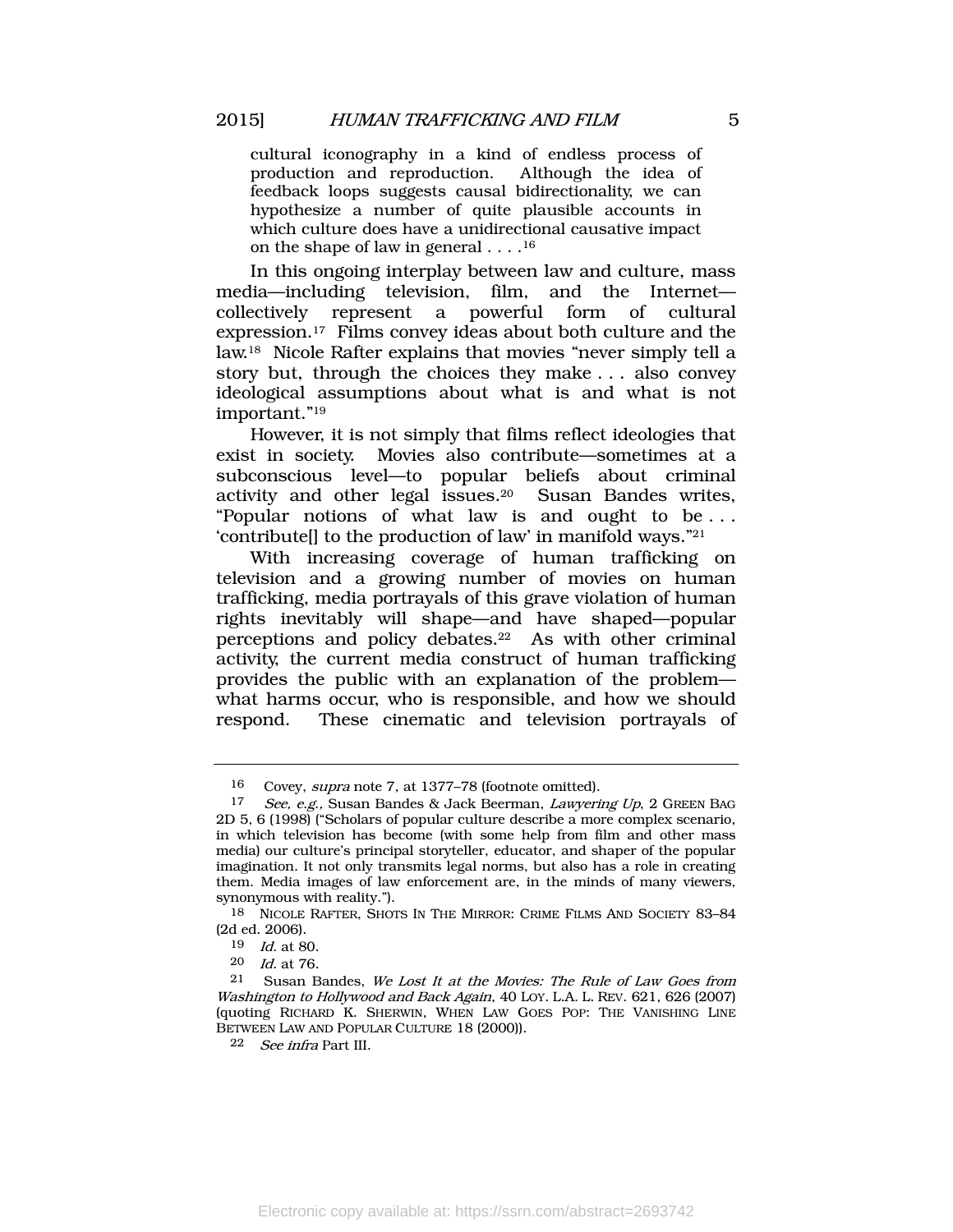cultural iconography in a kind of endless process of production and reproduction. Although the idea of feedback loops suggests causal bidirectionality, we can hypothesize a number of quite plausible accounts in which culture does have a unidirectional causative impact on the shape of law in general . . . . 16

<span id="page-5-0"></span>In this ongoing interplay between law and culture, mass media—including television, film, and the Internet collectively represent a powerful form of cultural expression.17 Films convey ideas about both culture and the law.<sup>18</sup> Nicole Rafter explains that movies "never simply tell a story but, through the choices they make . . . also convey ideological assumptions about what is and what is not important." 19

However, it is not simply that films reflect ideologies that exist in society. Movies also contribute—sometimes at a subconscious level—to popular beliefs about criminal activity and other legal issues.20 Susan Bandes writes, "Popular notions of what law is and ought to be . . . 'contribute[] to the production of law' in manifold ways." 21

With increasing coverage of human trafficking on television and a growing number of movies on human trafficking, media portrayals of this grave violation of human rights inevitably will shape—and have shaped—popular perceptions and policy debates.<sup>22</sup> As with other criminal activity, the current media construct of human trafficking provides the public with an explanation of the problem what harms occur, who is responsible, and how we should respond. These cinematic and television portrayals of

<sup>16</sup> Covey, supra note [7,](#page-2-1) at 1377–78 (footnote omitted).<br>17 See e.g. Susan Bandes & Jack Beerman *Lawreri* 

See, e.g., Susan Bandes & Jack Beerman, Lawyering Up, 2 GREEN BAG 2D 5, 6 (1998) ("Scholars of popular culture describe a more complex scenario, in which television has become (with some help from film and other mass media) our culture's principal storyteller, educator, and shaper of the popular imagination. It not only transmits legal norms, but also has a role in creating them. Media images of law enforcement are, in the minds of many viewers, synonymous with reality.").

<sup>18</sup> NICOLE RAFTER, SHOTS IN THE MIRROR: CRIME FILMS AND SOCIETY 83–84 (2d ed. 2006).

<sup>19</sup> Id. at 80.

<sup>20</sup> Id. at 76.

<sup>21</sup> Susan Bandes, We Lost It at the Movies: The Rule of Law Goes from Washington to Hollywood and Back Again, 40 LOY. L.A. L. REV. 621, 626 (2007) (quoting RICHARD K. SHERWIN, WHEN LAW GOES POP: THE VANISHING LINE BETWEEN LAW AND POPULAR CULTURE 18 (2000)).

<sup>22</sup> See infra Part III.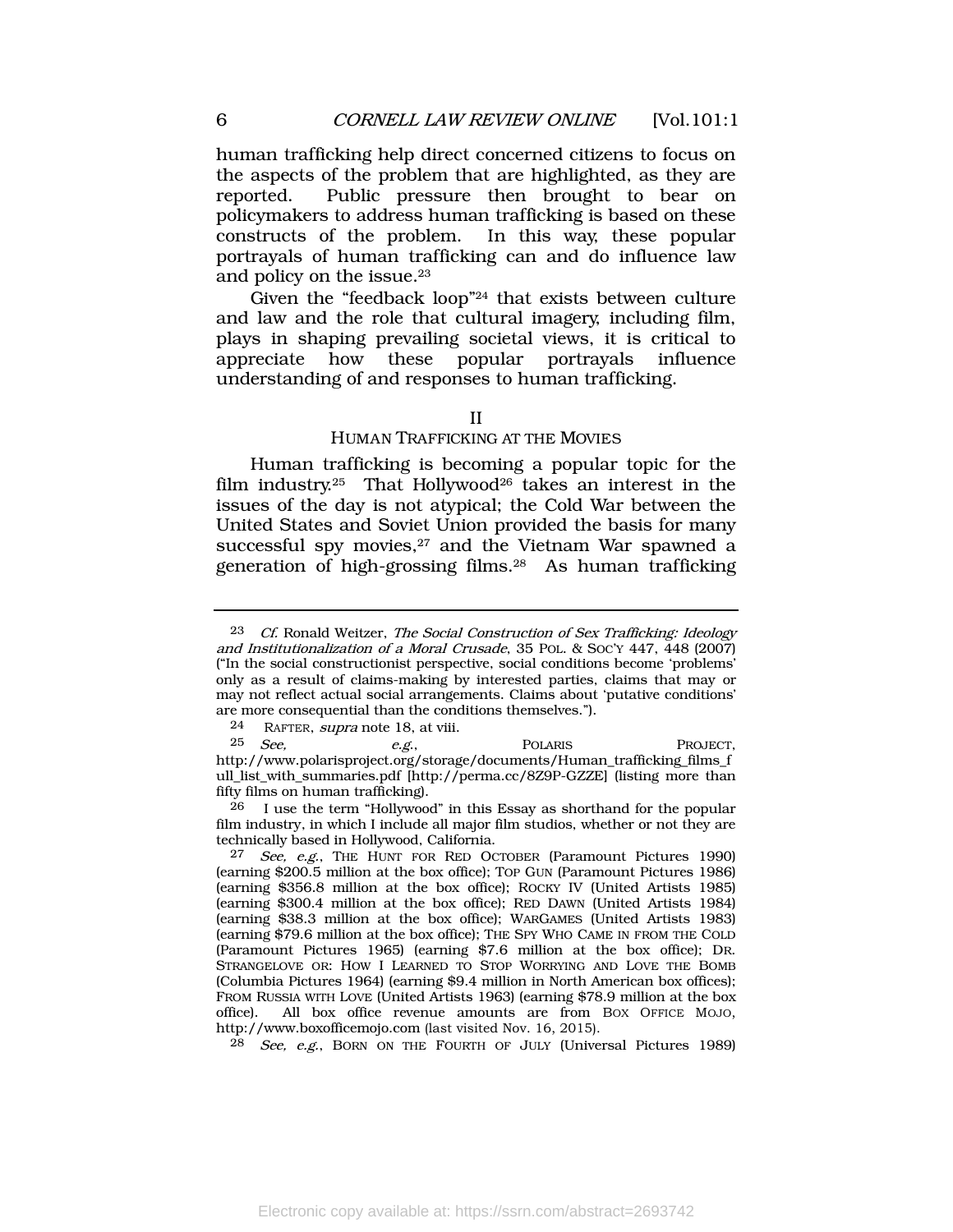human trafficking help direct concerned citizens to focus on the aspects of the problem that are highlighted, as they are reported. Public pressure then brought to bear on policymakers to address human trafficking is based on these constructs of the problem. In this way, these popular portrayals of human trafficking can and do influence law and policy on the issue.<sup>23</sup>

Given the "feedback loop" <sup>24</sup> that exists between culture and law and the role that cultural imagery, including film, plays in shaping prevailing societal views, it is critical to appreciate how these popular portrayals influence understanding of and responses to human trafficking.

### II

# <span id="page-6-0"></span>HUMAN TRAFFICKING AT THE MOVIES

Human trafficking is becoming a popular topic for the film industry.<sup>25</sup> That Hollywood<sup>26</sup> takes an interest in the issues of the day is not atypical; the Cold War between the United States and Soviet Union provided the basis for many successful spy movies, $27$  and the Vietnam War spawned a generation of high-grossing films.<sup>28</sup> As human trafficking

26 I use the term "Hollywood" in this Essay as shorthand for the popular film industry, in which I include all major film studios, whether or not they are technically based in Hollywood, California.

<sup>23</sup> Cf. Ronald Weitzer, The Social Construction of Sex Trafficking: Ideology and Institutionalization of a Moral Crusade, 35 POL. & SOC'Y 447, 448 (2007) ("In the social constructionist perspective, social conditions become 'problems' only as a result of claims-making by interested parties, claims that may or may not reflect actual social arrangements. Claims about 'putative conditions' are more consequential than the conditions themselves.").

<sup>24</sup> RAFTER, supra note [18,](#page-5-0) at viii.<br>25 See e.g.

 $25$  *See,*  $e.g.,$  POLARIS PROJECT, [http://www.polarisproject.org/storage/documents/Human\\_trafficking\\_films\\_f](http://www.polarisproject.org/storage/documents/Human_trafficking_films_full_list_with_summaries.pdf) [ull\\_list\\_with\\_summaries.pdf](http://www.polarisproject.org/storage/documents/Human_trafficking_films_full_list_with_summaries.pdf) [http://perma.cc/8Z9P-GZZE] (listing more than fifty films on human trafficking).

<sup>27</sup> See, e.g., THE HUNT FOR RED OCTOBER (Paramount Pictures 1990) (earning \$200.5 million at the box office); TOP GUN (Paramount Pictures 1986) (earning \$356.8 million at the box office); ROCKY IV (United Artists 1985) (earning \$300.4 million at the box office); RED DAWN (United Artists 1984) (earning \$38.3 million at the box office); WARGAMES (United Artists 1983) (earning \$79.6 million at the box office); THE SPY WHO CAME IN FROM THE COLD (Paramount Pictures 1965) (earning \$7.6 million at the box office); DR. STRANGELOVE OR: HOW I LEARNED TO STOP WORRYING AND LOVE THE BOMB (Columbia Pictures 1964) (earning \$9.4 million in North American box offices); FROM RUSSIA WITH LOVE (United Artists 1963) (earning \$78.9 million at the box office). All box office revenue amounts are from BOX OFFICE MOJO, http://www.boxofficemojo.com (last visited Nov. 16, 2015).

<sup>28</sup> See, e.g., BORN ON THE FOURTH OF JULY (Universal Pictures 1989)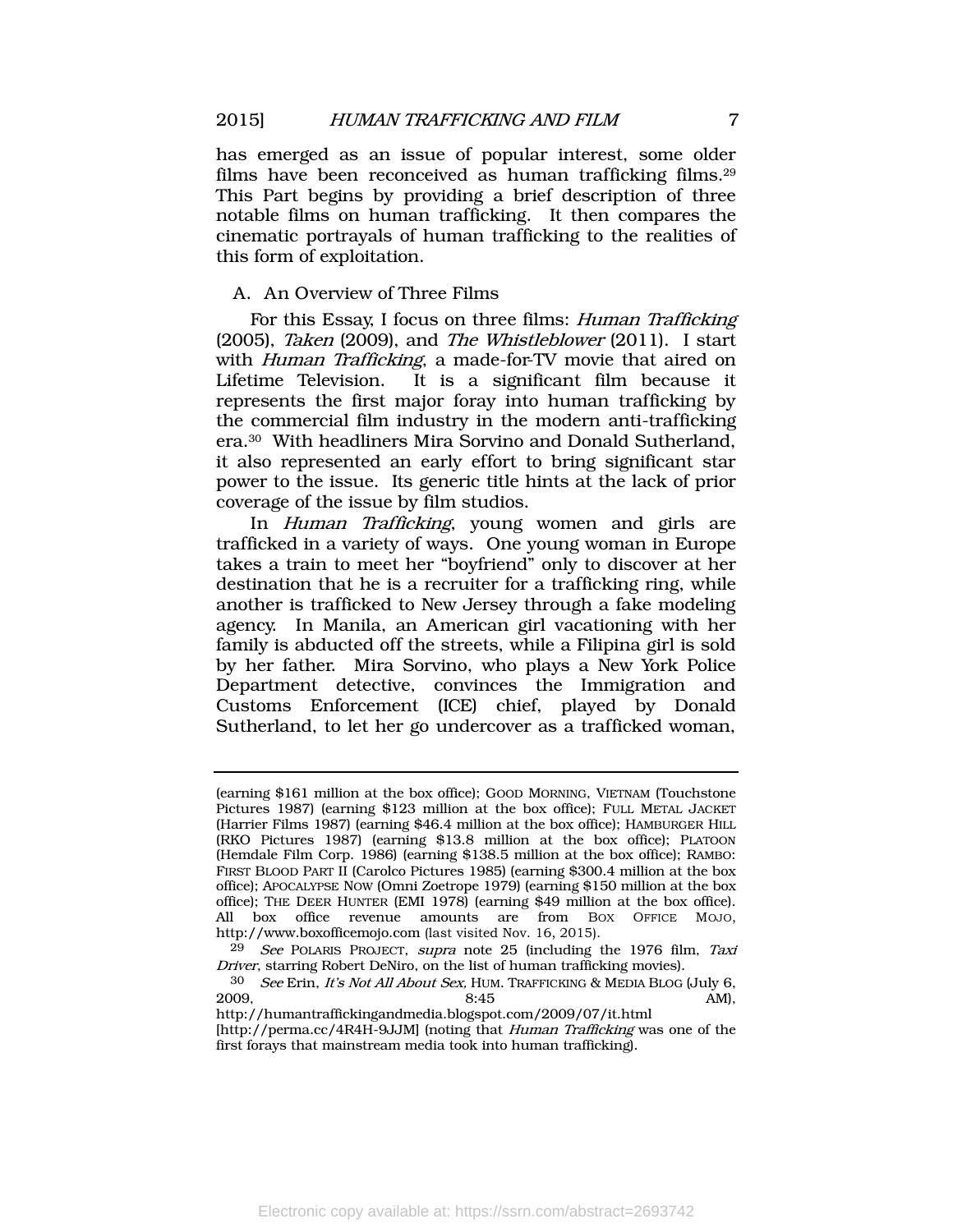has emerged as an issue of popular interest, some older films have been reconceived as human trafficking films.<sup>29</sup> This Part begins by providing a brief description of three notable films on human trafficking. It then compares the cinematic portrayals of human trafficking to the realities of this form of exploitation.

# A. An Overview of Three Films

For this Essay, I focus on three films: *Human Trafficking* (2005), Taken (2009), and The Whistleblower (2011). I start with *Human Trafficking*, a made-for-TV movie that aired on Lifetime Television. It is a significant film because it represents the first major foray into human trafficking by the commercial film industry in the modern anti-trafficking era.<sup>30</sup> With headliners Mira Sorvino and Donald Sutherland, it also represented an early effort to bring significant star power to the issue. Its generic title hints at the lack of prior coverage of the issue by film studios.

In Human Trafficking, young women and girls are trafficked in a variety of ways. One young woman in Europe takes a train to meet her "boyfriend" only to discover at her destination that he is a recruiter for a trafficking ring, while another is trafficked to New Jersey through a fake modeling agency. In Manila, an American girl vacationing with her family is abducted off the streets, while a Filipina girl is sold by her father. Mira Sorvino, who plays a New York Police Department detective, convinces the Immigration and Customs Enforcement (ICE) chief, played by Donald Sutherland, to let her go undercover as a trafficked woman,

<sup>(</sup>earning \$161 million at the box office); GOOD MORNING, VIETNAM (Touchstone Pictures 1987) (earning \$123 million at the box office); FULL METAL JACKET (Harrier Films 1987) (earning \$46.4 million at the box office); HAMBURGER HILL (RKO Pictures 1987) (earning \$13.8 million at the box office); PLATOON (Hemdale Film Corp. 1986) (earning \$138.5 million at the box office); RAMBO: FIRST BLOOD PART II (Carolco Pictures 1985) (earning \$300.4 million at the box office); APOCALYPSE NOW (Omni Zoetrope 1979) (earning \$150 million at the box office); THE DEER HUNTER (EMI 1978) (earning \$49 million at the box office). All box office revenue amounts are from BOX OFFICE MOJO, http://www.boxofficemojo.com (last visited Nov. 16, 2015).

<sup>&</sup>lt;sup>29</sup> See POLARIS PROJECT, supra note [25](#page-6-0) (including the 1976 film, Taxi Driver, starring Robert DeNiro, on the list of human trafficking movies).

<sup>&</sup>lt;sup>30</sup> See Erin, *It's Not All About Sex*, HUM. TRAFFICKING & MEDIA BLOG (July 6, 2009. **8:45** AM).  $2009,$  AM),

http://humantraffickingandmedia.blogspot.com/2009/07/it.html [http://perma.cc/4R4H-9JJM] (noting that Human Trafficking was one of the first forays that mainstream media took into human trafficking).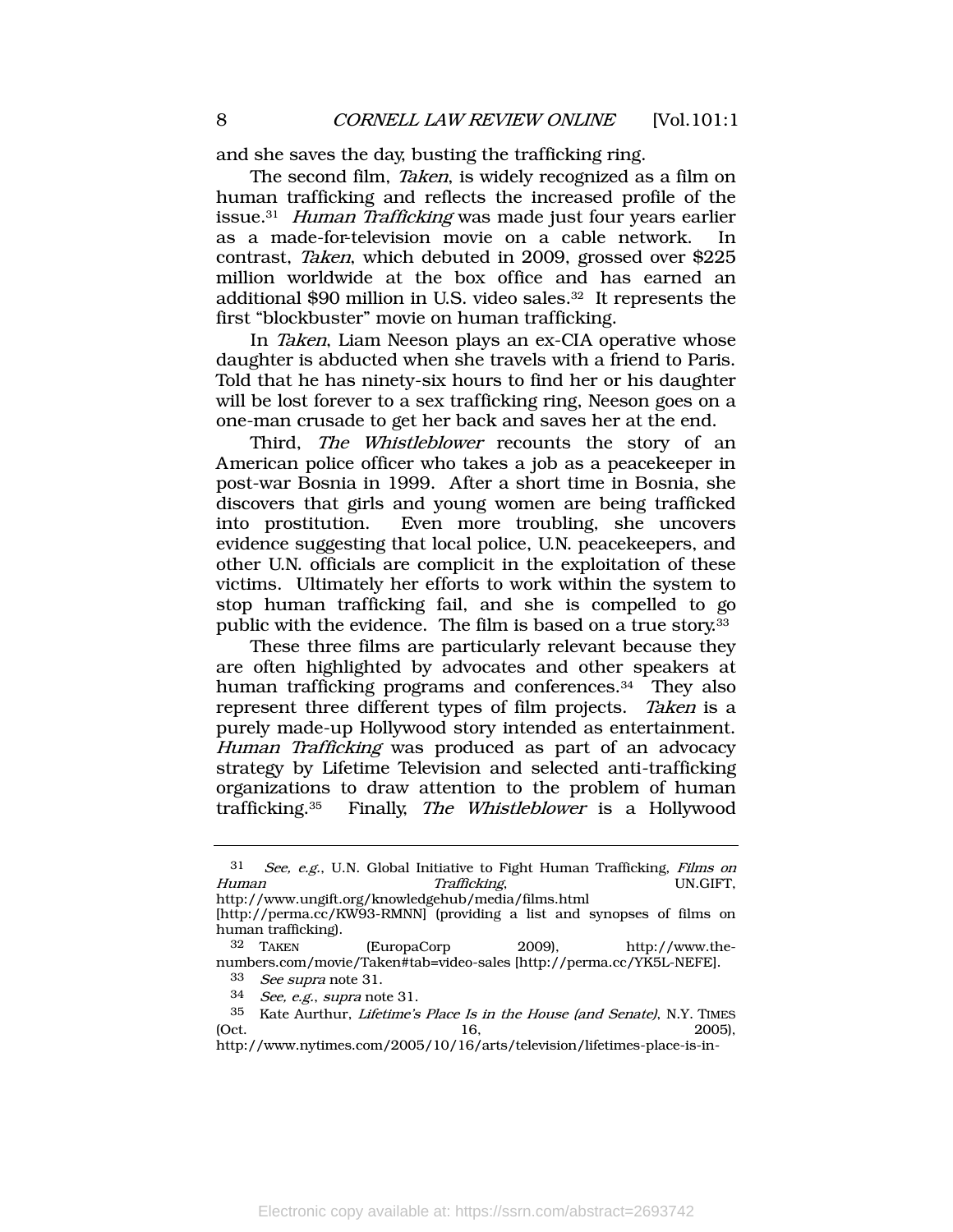and she saves the day, busting the trafficking ring.

<span id="page-8-0"></span>The second film, *Taken*, is widely recognized as a film on human trafficking and reflects the increased profile of the issue.<sup>31</sup> Human Trafficking was made just four years earlier as a made-for-television movie on a cable network. In contrast, Taken, which debuted in 2009, grossed over \$225 million worldwide at the box office and has earned an additional \$90 million in U.S. video sales. <sup>32</sup> It represents the first "blockbuster" movie on human trafficking.

In Taken, Liam Neeson plays an ex-CIA operative whose daughter is abducted when she travels with a friend to Paris. Told that he has ninety-six hours to find her or his daughter will be lost forever to a sex trafficking ring, Neeson goes on a one-man crusade to get her back and saves her at the end.

Third, *The Whistleblower* recounts the story of an American police officer who takes a job as a peacekeeper in post-war Bosnia in 1999. After a short time in Bosnia, she discovers that girls and young women are being trafficked into prostitution. Even more troubling, she uncovers evidence suggesting that local police, U.N. peacekeepers, and other U.N. officials are complicit in the exploitation of these victims. Ultimately her efforts to work within the system to stop human trafficking fail, and she is compelled to go public with the evidence. The film is based on a true story.<sup>33</sup>

These three films are particularly relevant because they are often highlighted by advocates and other speakers at human trafficking programs and conferences.<sup>34</sup> They also represent three different types of film projects. Taken is a purely made-up Hollywood story intended as entertainment. Human Trafficking was produced as part of an advocacy strategy by Lifetime Television and selected anti-trafficking organizations to draw attention to the problem of human trafficking.<sup>35</sup> Finally, The Whistleblower is a Hollywood

<sup>31</sup> See, e.g., U.N. Global Initiative to Fight Human Trafficking, Films on Human Trafficking, UN.GIFT, http://www.ungift.org/knowledgehub/media/films.html

<sup>[</sup>http://perma.cc/KW93-RMNN] (providing a list and synopses of films on human trafficking).<br> $32$  TAKEN

<sup>(</sup>EuropaCorp 2009), http://www.thenumbers.com/movie/Taken#tab=video-sales [http://perma.cc/YK5L-NEFE].

<sup>33</sup> See supra not[e 31.](#page-8-0)

<sup>34</sup> See, e.g., supra note [31.](#page-8-0)

<sup>35</sup> Kate Aurthur, Lifetime's Place Is in the House (and Senate), N.Y. TIMES (Oct. 2005),

http://www.nytimes.com/2005/10/16/arts/television/lifetimes-place-is-in-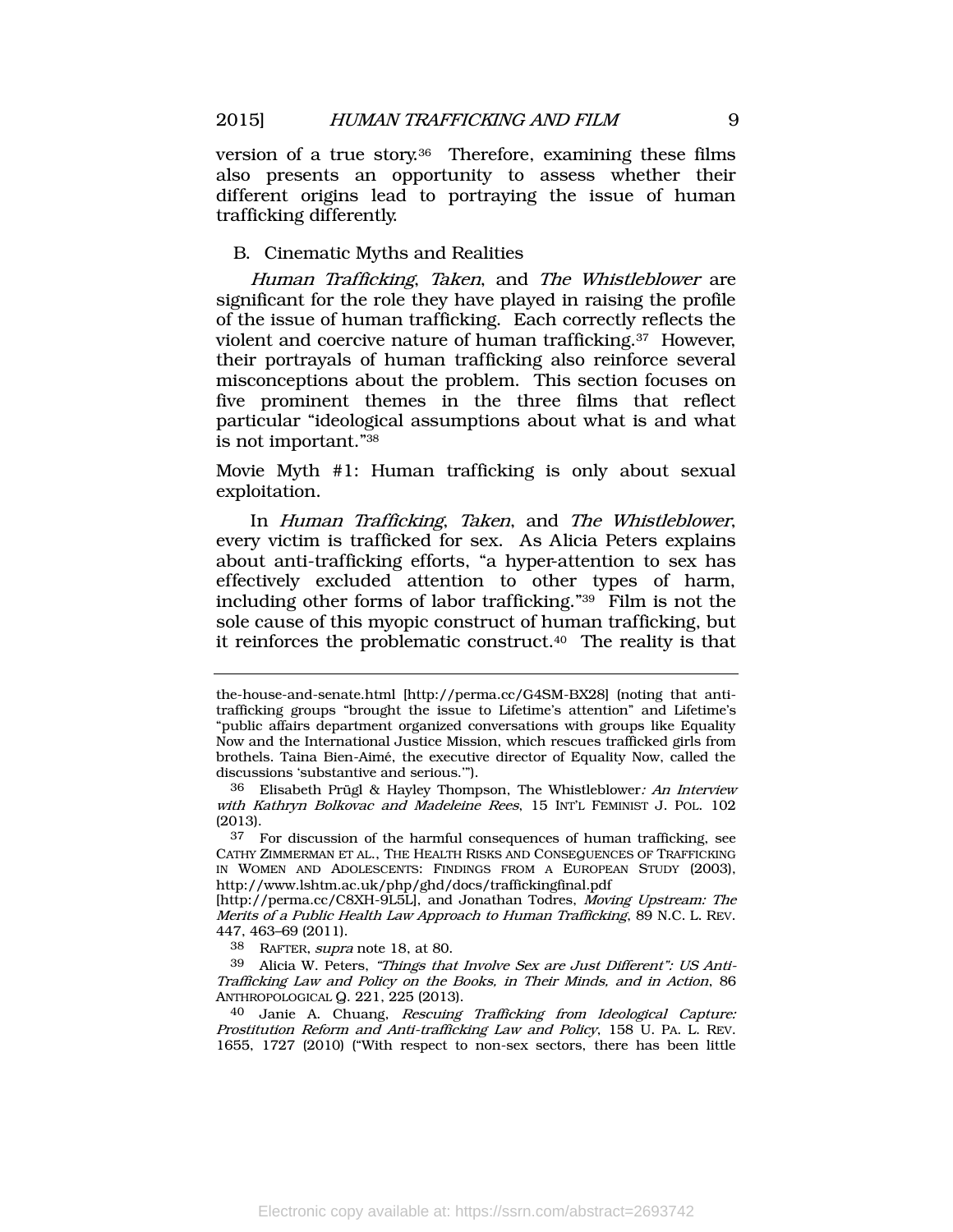version of a true story.36 Therefore, examining these films also presents an opportunity to assess whether their different origins lead to portraying the issue of human trafficking differently.

#### <span id="page-9-0"></span>B. Cinematic Myths and Realities

Human Trafficking, Taken, and The Whistleblower are significant for the role they have played in raising the profile of the issue of human trafficking. Each correctly reflects the violent and coercive nature of human trafficking.<sup>37</sup> However, their portrayals of human trafficking also reinforce several misconceptions about the problem. This section focuses on five prominent themes in the three films that reflect particular "ideological assumptions about what is and what is not important." 38

Movie Myth #1: Human trafficking is only about sexual exploitation.

<span id="page-9-2"></span>In Human Trafficking, Taken, and The Whistleblower, every victim is trafficked for sex. As Alicia Peters explains about anti-trafficking efforts, "a hyper-attention to sex has effectively excluded attention to other types of harm, including other forms of labor trafficking." <sup>39</sup> Film is not the sole cause of this myopic construct of human trafficking, but it reinforces the problematic construct.<sup>40</sup> The reality is that

38 RAFTER, supra note [18,](#page-5-0) at 80.

<span id="page-9-1"></span>the-house-and-senate.html [http://perma.cc/G4SM-BX28] (noting that antitrafficking groups "brought the issue to Lifetime's attention" and Lifetime's "public affairs department organized conversations with groups like Equality Now and the International Justice Mission, which rescues trafficked girls from brothels. Taina Bien-Aimé, the executive director of Equality Now, called the discussions 'substantive and serious.'").

<sup>36</sup> Elisabeth Prügl & Hayley Thompson, The Whistleblower: An Interview with Kathryn Bolkovac and Madeleine Rees, 15 INT'L FEMINIST J. POL. 102 (2013).

<sup>37</sup> For discussion of the harmful consequences of human trafficking, see CATHY ZIMMERMAN ET AL., THE HEALTH RISKS AND CONSEQUENCES OF TRAFFICKING IN WOMEN AND ADOLESCENTS: FINDINGS FROM A EUROPEAN STUDY (2003), http://www.lshtm.ac.uk/php/ghd/docs/traffickingfinal.pdf

<sup>[</sup>http://perma.cc/C8XH-9L5L], and Jonathan Todres, Moving Upstream: The Merits of a Public Health Law Approach to Human Trafficking, 89 N.C. L. REV. 447, 463–69 (2011).

<sup>39</sup> Alicia W. Peters, "Things that Involve Sex are Just Different": US Anti-Trafficking Law and Policy on the Books, in Their Minds, and in Action, 86 ANTHROPOLOGICAL Q. 221, 225 (2013).

<sup>40</sup> Janie A. Chuang, Rescuing Trafficking from Ideological Capture: Prostitution Reform and Anti-trafficking Law and Policy, 158 U. PA. L. REV. 1655, 1727 (2010) ("With respect to non-sex sectors, there has been little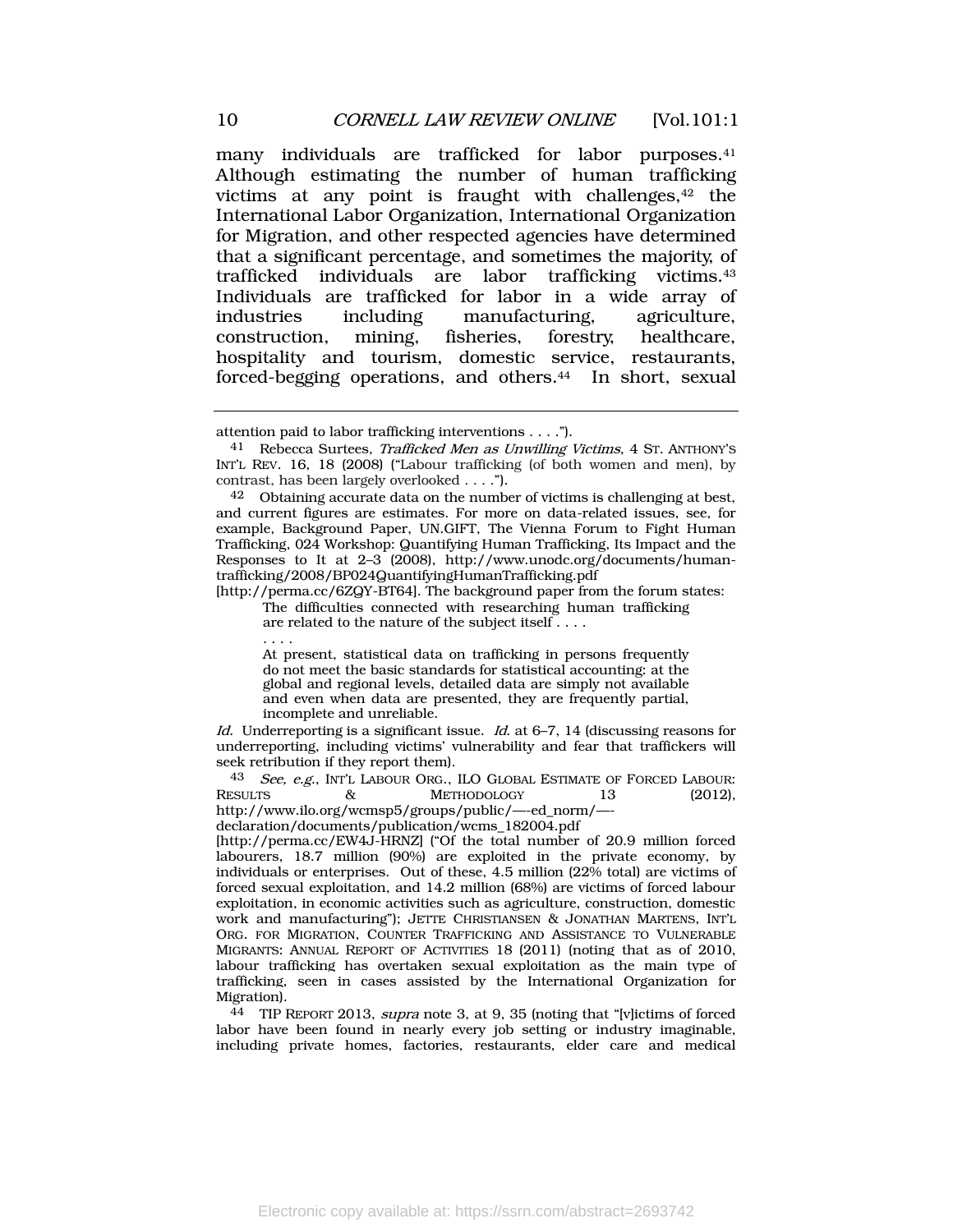<span id="page-10-1"></span><span id="page-10-0"></span>many individuals are trafficked for labor purposes.<sup>41</sup> Although estimating the number of human trafficking victims at any point is fraught with challenges,<sup>42</sup> the International Labor Organization, International Organization for Migration, and other respected agencies have determined that a significant percentage, and sometimes the majority, of trafficked individuals are labor trafficking victims.<sup>43</sup> Individuals are trafficked for labor in a wide array of industries including manufacturing, agriculture, construction, mining, fisheries, forestry, healthcare, hospitality and tourism, domestic service, restaurants, forced-begging operations, and others.<sup>44</sup> In short, sexual

[http://perma.cc/6ZQY-BT64]. The background paper from the forum states: The difficulties connected with researching human trafficking

are related to the nature of the subject itself....

. . . .

At present, statistical data on trafficking in persons frequently do not meet the basic standards for statistical accounting: at the global and regional levels, detailed data are simply not available and even when data are presented, they are frequently partial, incomplete and unreliable.

Id. Underreporting is a significant issue. Id. at  $6-7$ , 14 (discussing reasons for underreporting, including victims' vulnerability and fear that traffickers will seek retribution if they report them).

<sup>43</sup> See, e.g., INT'L LABOUR ORG., ILO GLOBAL ESTIMATE OF FORCED LABOUR:<br>RESULTS  $\&$  METHODOLOGY 13 (2012). & METHODOLOGY 13 (2012), http://www.ilo.org/wcmsp5/groups/public/—-ed\_norm/—-

declaration/documents/publication/wcms\_182004.pdf

[http://perma.cc/EW4J-HRNZ] ("Of the total number of 20.9 million forced labourers, 18.7 million (90%) are exploited in the private economy, by individuals or enterprises. Out of these, 4.5 million (22% total) are victims of forced sexual exploitation, and 14.2 million (68%) are victims of forced labour exploitation, in economic activities such as agriculture, construction, domestic work and manufacturing"); JETTE CHRISTIANSEN & JONATHAN MARTENS, INT'L ORG. FOR MIGRATION, COUNTER TRAFFICKING AND ASSISTANCE TO VULNERABLE MIGRANTS: ANNUAL REPORT OF ACTIVITIES 18 (2011) (noting that as of 2010, labour trafficking has overtaken sexual exploitation as the main type of trafficking, seen in cases assisted by the International Organization for Migration).

44 TIP REPORT 2013, supra note [3,](#page-2-2) at 9, 35 (noting that "[v]ictims of forced labor have been found in nearly every job setting or industry imaginable, including private homes, factories, restaurants, elder care and medical

attention paid to labor trafficking interventions . . . .").

<sup>41</sup> Rebecca Surtees, Trafficked Men as Unwilling Victims, 4 ST. ANTHONY'S INT'L REV. 16, 18 (2008) ("Labour trafficking (of both women and men), by contrast, has been largely overlooked . . . .").

<sup>42</sup> Obtaining accurate data on the number of victims is challenging at best, and current figures are estimates. For more on data-related issues, see, for example, Background Paper, UN.GIFT, The Vienna Forum to Fight Human Trafficking, 024 Workshop: Quantifying Human Trafficking, Its Impact and the Responses to It at 2–3 (2008), http://www.unodc.org/documents/humantrafficking/2008/BP024QuantifyingHumanTrafficking.pdf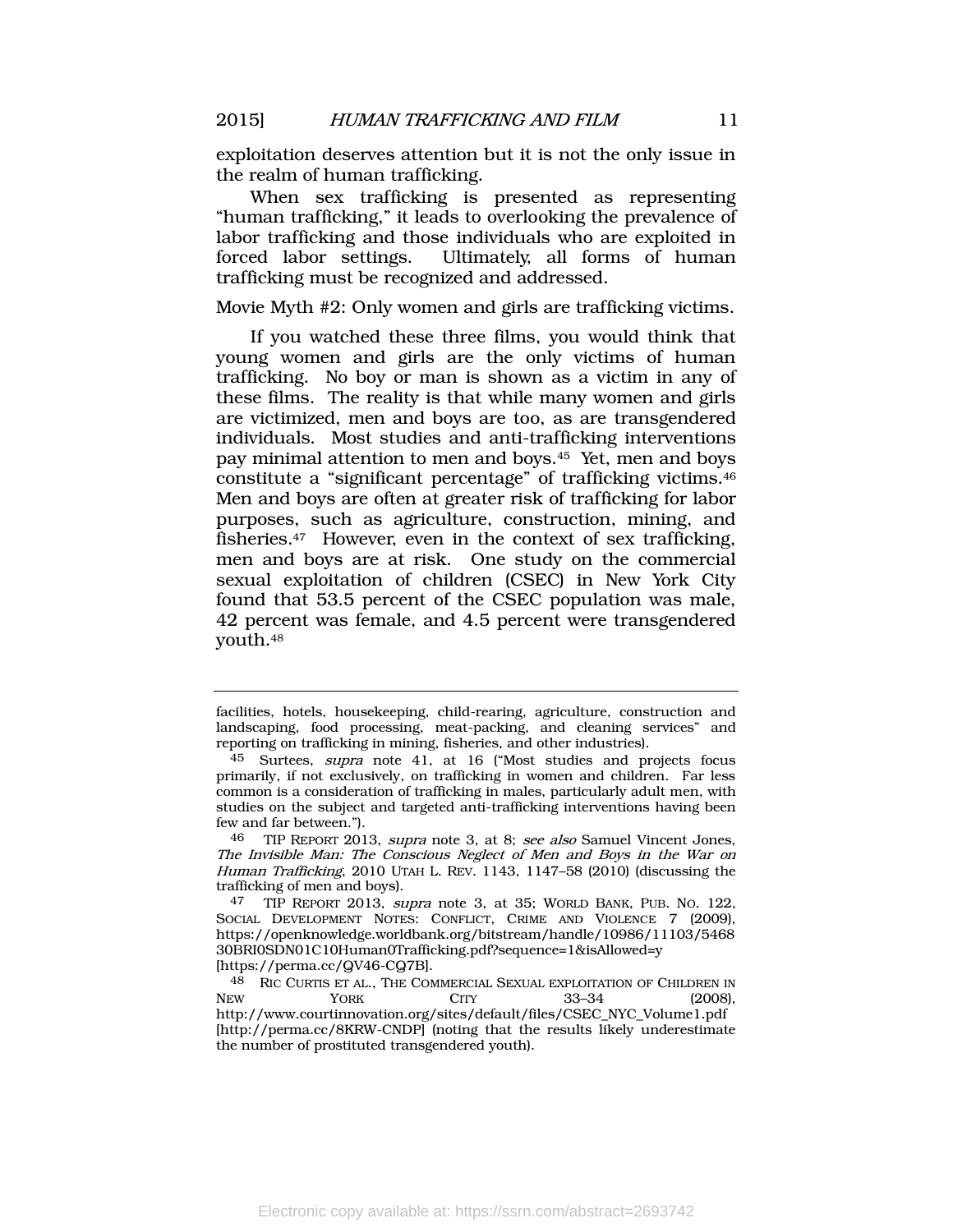exploitation deserves attention but it is not the only issue in the realm of human trafficking.

When sex trafficking is presented as representing "human trafficking," it leads to overlooking the prevalence of labor trafficking and those individuals who are exploited in forced labor settings. Ultimately, all forms of human trafficking must be recognized and addressed.

Movie Myth #2: Only women and girls are trafficking victims.

<span id="page-11-0"></span>If you watched these three films, you would think that young women and girls are the only victims of human trafficking. No boy or man is shown as a victim in any of these films. The reality is that while many women and girls are victimized, men and boys are too, as are transgendered individuals. Most studies and anti-trafficking interventions pay minimal attention to men and boys.45 Yet, men and boys constitute a "significant percentage" of trafficking victims.<sup>46</sup> Men and boys are often at greater risk of trafficking for labor purposes, such as agriculture, construction, mining, and fisheries.<sup>47</sup> However, even in the context of sex trafficking, men and boys are at risk. One study on the commercial sexual exploitation of children (CSEC) in New York City found that 53.5 percent of the CSEC population was male, 42 percent was female, and 4.5 percent were transgendered youth.<sup>48</sup>

facilities, hotels, housekeeping, child-rearing, agriculture, construction and landscaping, food processing, meat-packing, and cleaning services" and reporting on trafficking in mining, fisheries, and other industries).

<sup>45</sup> Surtees, supra note [41,](#page-10-0) at 16 ("Most studies and projects focus primarily, if not exclusively, on trafficking in women and children. Far less common is a consideration of trafficking in males, particularly adult men, with studies on the subject and targeted anti-trafficking interventions having been few and far between.").

<sup>46</sup> TIP REPORT 2013, supra note [3,](#page-2-2) at 8; see also Samuel Vincent Jones, The Invisible Man: The Conscious Neglect of Men and Boys in the War on Human Trafficking, 2010 UTAH L. REV. 1143, 1147–58 (2010) (discussing the trafficking of men and boys).

<sup>47</sup> TIP REPORT 2013, supra note [3,](#page-2-2) at 35; WORLD BANK, PUB. NO. 122, SOCIAL DEVELOPMENT NOTES: CONFLICT, CRIME AND VIOLENCE 7 (2009), https://openknowledge.worldbank.org/bitstream/handle/10986/11103/5468 30BRI0SDN01C10Human0Trafficking.pdf?sequence=1&isAllowed=y [https://perma.cc/QV46-CQ7B].

<sup>&</sup>lt;sup>48</sup> RIC CURTIS ET AL., THE COMMERCIAL SEXUAL EXPLOITATION OF CHILDREN IN<br>New York CITY 33-34 (2008). NEW **YORK CITY** 33–34 (2008), http://www.courtinnovation.org/sites/default/files/CSEC\_NYC\_Volume1.pdf [http://perma.cc/8KRW-CNDP] (noting that the results likely underestimate the number of prostituted transgendered youth).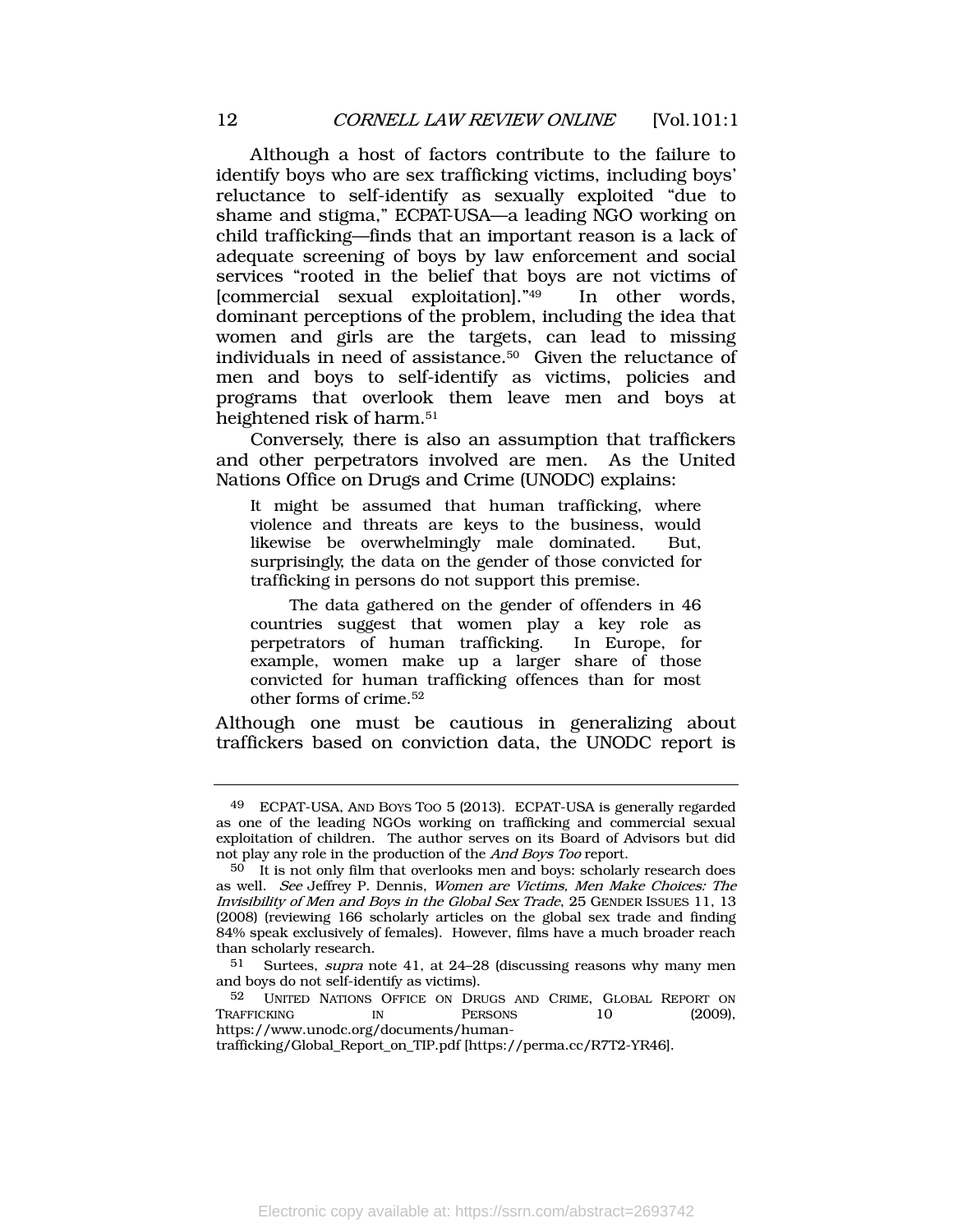Although a host of factors contribute to the failure to identify boys who are sex trafficking victims, including boys' reluctance to self-identify as sexually exploited "due to shame and stigma," ECPAT-USA—a leading NGO working on child trafficking—finds that an important reason is a lack of adequate screening of boys by law enforcement and social services "rooted in the belief that boys are not victims of [commercial sexual exploitation]." In other words, dominant perceptions of the problem, including the idea that women and girls are the targets, can lead to missing individuals in need of assistance.<sup>50</sup> Given the reluctance of men and boys to self-identify as victims, policies and programs that overlook them leave men and boys at heightened risk of harm.<sup>51</sup>

Conversely, there is also an assumption that traffickers and other perpetrators involved are men. As the United Nations Office on Drugs and Crime (UNODC) explains:

It might be assumed that human trafficking, where violence and threats are keys to the business, would likewise be overwhelmingly male dominated. But, surprisingly, the data on the gender of those convicted for trafficking in persons do not support this premise.

 The data gathered on the gender of offenders in 46 countries suggest that women play a key role as perpetrators of human trafficking. In Europe, for example, women make up a larger share of those convicted for human trafficking offences than for most other forms of crime.<sup>52</sup>

Although one must be cautious in generalizing about traffickers based on conviction data, the UNODC report is

<sup>49</sup> ECPAT-USA, AND BOYS TOO 5 (2013). ECPAT-USA is generally regarded as one of the leading NGOs working on trafficking and commercial sexual exploitation of children. The author serves on its Board of Advisors but did not play any role in the production of the And Boys Too report.

<sup>50</sup> It is not only film that overlooks men and boys: scholarly research does as well. See Jeffrey P. Dennis, Women are Victims, Men Make Choices: The Invisibility of Men and Boys in the Global Sex Trade, 25 GENDER ISSUES 11, 13 (2008) (reviewing 166 scholarly articles on the global sex trade and finding 84% speak exclusively of females). However, films have a much broader reach than scholarly research.

<sup>51</sup> Surtees, supra note [41,](#page-10-0) at 24–28 (discussing reasons why many men and boys do not self-identify as victims).

<sup>52</sup> UNITED NATIONS OFFICE ON DRUGS AND CRIME, GLOBAL REPORT ON TRAFFICKING IN PERSONS 10 (2009), https://www.unodc.org/documents/human-

trafficking/Global\_Report\_on\_TIP.pdf [https://perma.cc/R7T2-YR46].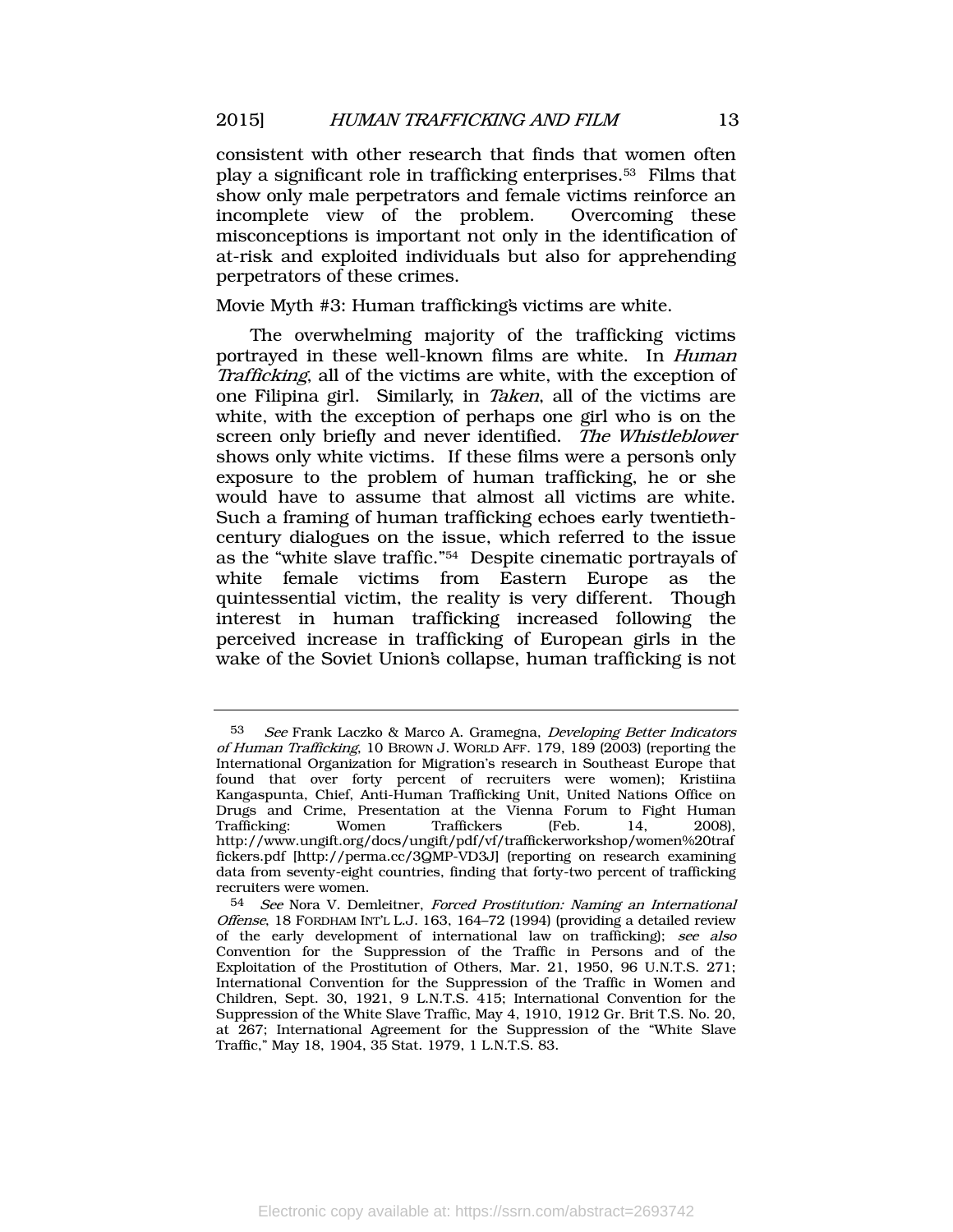consistent with other research that finds that women often play a significant role in trafficking enterprises.<sup>53</sup> Films that show only male perpetrators and female victims reinforce an incomplete view of the problem. Overcoming these misconceptions is important not only in the identification of at-risk and exploited individuals but also for apprehending perpetrators of these crimes.

#### Movie Myth #3: Human trafficking's victims are white.

The overwhelming majority of the trafficking victims portrayed in these well-known films are white. In Human Trafficking, all of the victims are white, with the exception of one Filipina girl. Similarly, in Taken, all of the victims are white, with the exception of perhaps one girl who is on the screen only briefly and never identified. The Whistleblower shows only white victims. If these films were a person's only exposure to the problem of human trafficking, he or she would have to assume that almost all victims are white. Such a framing of human trafficking echoes early twentiethcentury dialogues on the issue, which referred to the issue as the "white slave traffic." <sup>54</sup> Despite cinematic portrayals of white female victims from Eastern Europe as the quintessential victim, the reality is very different. Though interest in human trafficking increased following the perceived increase in trafficking of European girls in the wake of the Soviet Union's collapse, human trafficking is not

<sup>53</sup> See Frank Laczko & Marco A. Gramegna, Developing Better Indicators of Human Trafficking, 10 BROWN J. WORLD AFF. 179, 189 (2003) (reporting the International Organization for Migration's research in Southeast Europe that found that over forty percent of recruiters were women); Kristiina Kangaspunta, Chief, Anti-Human Trafficking Unit, United Nations Office on Drugs and Crime, Presentation at the Vienna Forum to Fight Human Trafficking: Women Traffickers (Feb. 14, 2008), http:/[/www.ungift.org/docs/ungift/pdf/vf/traffickerworkshop/women%20traf](http://www.ungift.org/docs/ungift/pdf/vf/traffickerworkshop/women%20traffickers.pdf) [fickers.pdf](http://www.ungift.org/docs/ungift/pdf/vf/traffickerworkshop/women%20traffickers.pdf) [http://perma.cc/3QMP-VD3J] (reporting on research examining data from seventy-eight countries, finding that forty-two percent of trafficking recruiters were women.

<sup>54</sup> See Nora V. Demleitner, Forced Prostitution: Naming an International Offense, 18 FORDHAM INT'L L.J. 163, 164–72 (1994) (providing a detailed review of the early development of international law on trafficking); see also Convention for the Suppression of the Traffic in Persons and of the Exploitation of the Prostitution of Others, Mar. 21, 1950, 96 U.N.T.S. 271; International Convention for the Suppression of the Traffic in Women and Children, Sept. 30, 1921, 9 L.N.T.S. 415; International Convention for the Suppression of the White Slave Traffic, May 4, 1910, 1912 Gr. Brit T.S. No. 20, at 267; International Agreement for the Suppression of the "White Slave Traffic," May 18, 1904, 35 Stat. 1979, 1 L.N.T.S. 83.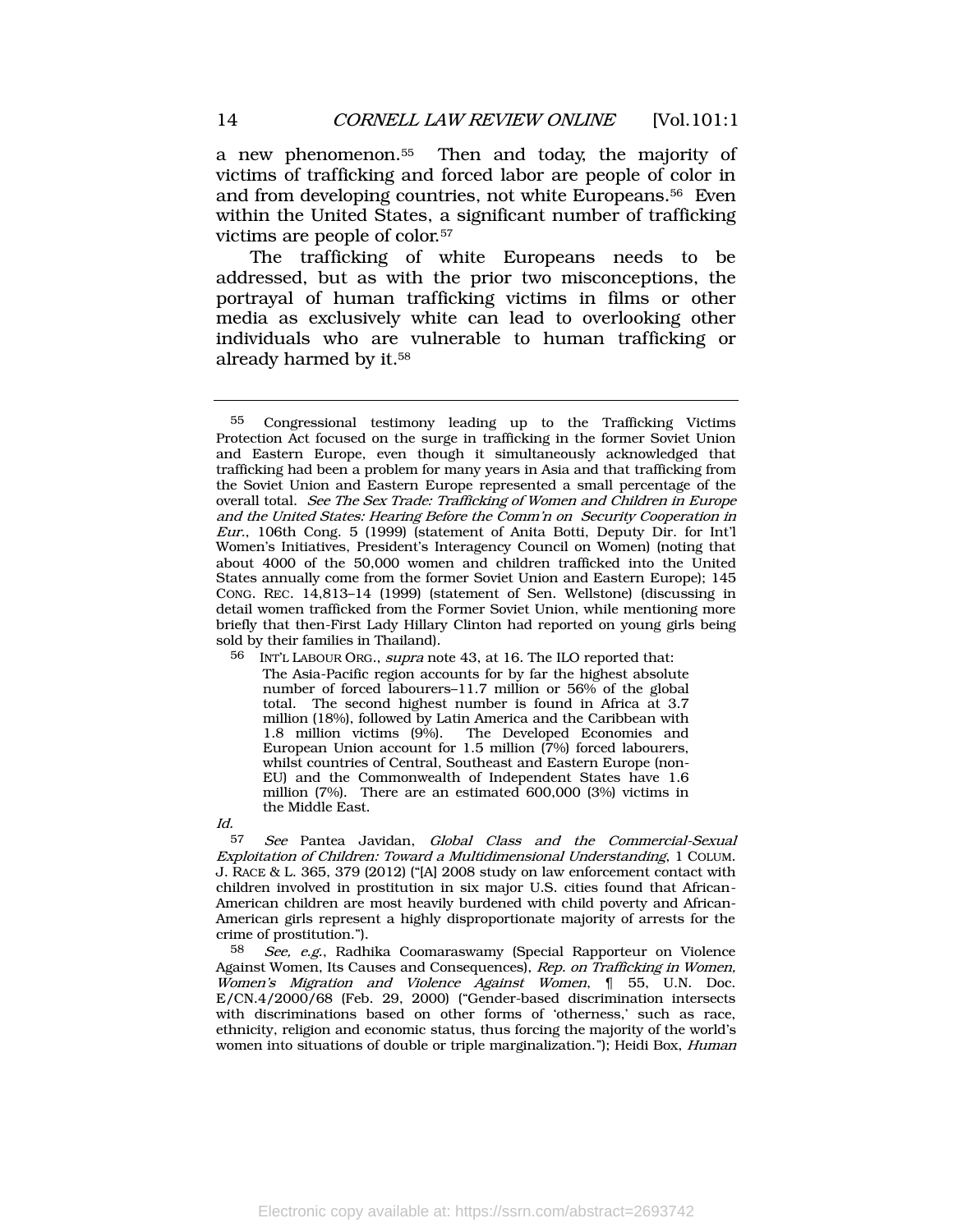a new phenomenon.<sup>55</sup> Then and today, the majority of victims of trafficking and forced labor are people of color in and from developing countries, not white Europeans.56 Even within the United States, a significant number of trafficking victims are people of color.<sup>57</sup>

The trafficking of white Europeans needs to be addressed, but as with the prior two misconceptions, the portrayal of human trafficking victims in films or other media as exclusively white can lead to overlooking other individuals who are vulnerable to human trafficking or already harmed by it.<sup>58</sup>

 $Id$ 

See Pantea Javidan, Global Class and the Commercial-Sexual Exploitation of Children: Toward a Multidimensional Understanding, 1 COLUM. J. RACE & L. 365, 379 (2012) ("[A] 2008 study on law enforcement contact with children involved in prostitution in six major U.S. cities found that African-American children are most heavily burdened with child poverty and African-American girls represent a highly disproportionate majority of arrests for the crime of prostitution.").

58 See, e.g., Radhika Coomaraswamy (Special Rapporteur on Violence Against Women, Its Causes and Consequences), Rep. on Trafficking in Women, Women's Migration and Violence Against Women, ¶ 55, U.N. Doc. E/CN.4/2000/68 (Feb. 29, 2000) ("Gender-based discrimination intersects with discriminations based on other forms of 'otherness,' such as race, ethnicity, religion and economic status, thus forcing the majority of the world's women into situations of double or triple marginalization."); Heidi Box, *Human* 

<sup>55</sup> Congressional testimony leading up to the Trafficking Victims Protection Act focused on the surge in trafficking in the former Soviet Union and Eastern Europe, even though it simultaneously acknowledged that trafficking had been a problem for many years in Asia and that trafficking from the Soviet Union and Eastern Europe represented a small percentage of the overall total. See The Sex Trade: Trafficking of Women and Children in Europe and the United States: Hearing Before the Comm'n on Security Cooperation in Eur., 106th Cong. 5 (1999) (statement of Anita Botti, Deputy Dir. for Int'l Women's Initiatives, President's Interagency Council on Women) (noting that about 4000 of the 50,000 women and children trafficked into the United States annually come from the former Soviet Union and Eastern Europe); 145 CONG. REC. 14,813–14 (1999) (statement of Sen. Wellstone) (discussing in detail women trafficked from the Former Soviet Union, while mentioning more briefly that then-First Lady Hillary Clinton had reported on young girls being sold by their families in Thailand).

<sup>56</sup> INT'L LABOUR ORG., supra note [43,](#page-10-1) at 16. The ILO reported that: The Asia-Pacific region accounts for by far the highest absolute number of forced labourers–11.7 million or 56% of the global total. The second highest number is found in Africa at 3.7 million (18%), followed by Latin America and the Caribbean with 1.8 million victims (9%). The Developed Economies and European Union account for 1.5 million (7%) forced labourers, whilst countries of Central, Southeast and Eastern Europe (non-EU) and the Commonwealth of Independent States have 1.6 million (7%). There are an estimated 600,000 (3%) victims in the Middle East.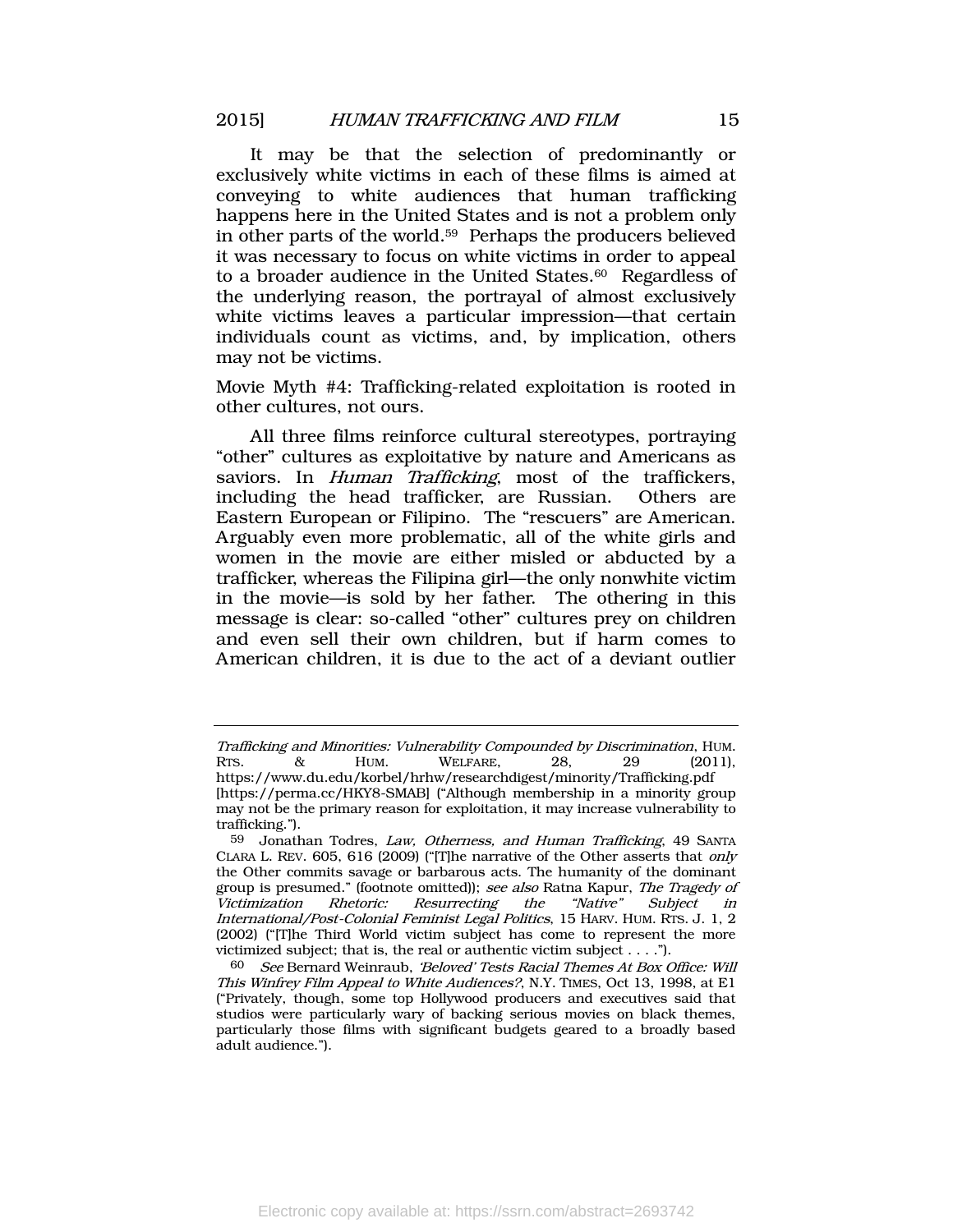<span id="page-15-0"></span>It may be that the selection of predominantly or exclusively white victims in each of these films is aimed at conveying to white audiences that human trafficking happens here in the United States and is not a problem only in other parts of the world. <sup>59</sup> Perhaps the producers believed it was necessary to focus on white victims in order to appeal to a broader audience in the United States.<sup>60</sup> Regardless of the underlying reason, the portrayal of almost exclusively white victims leaves a particular impression—that certain individuals count as victims, and, by implication, others may not be victims.

Movie Myth #4: Trafficking-related exploitation is rooted in other cultures, not ours.

All three films reinforce cultural stereotypes, portraying "other" cultures as exploitative by nature and Americans as saviors. In *Human Trafficking*, most of the traffickers, including the head trafficker, are Russian. Others are Eastern European or Filipino. The "rescuers" are American. Arguably even more problematic, all of the white girls and women in the movie are either misled or abducted by a trafficker, whereas the Filipina girl—the only nonwhite victim in the movie—is sold by her father. The othering in this message is clear: so-called "other" cultures prey on children and even sell their own children, but if harm comes to American children, it is due to the act of a deviant outlier

Trafficking and Minorities: Vulnerability Compounded by Discrimination, HUM. RTS. & HUM. WELFARE, 28, 29 (2011), <https://www.du.edu/korbel/hrhw/researchdigest/minority/Trafficking.pdf>

<sup>[</sup>https://perma.cc/HKY8-SMAB] ("Although membership in a minority group may not be the primary reason for exploitation, it may increase vulnerability to trafficking.").

<sup>59</sup> Jonathan Todres, Law, Otherness, and Human Trafficking, 49 SANTA CLARA L. REV. 605, 616 (2009) ("[T]he narrative of the Other asserts that only the Other commits savage or barbarous acts. The humanity of the dominant group is presumed." (footnote omitted)); see also Ratna Kapur, The Tragedy of Victimization Rhetoric: Resurrecting the "Native" Subject in International/Post-Colonial Feminist Legal Politics, 15 HARV. HUM. RTS. J. 1, 2 (2002) ("[T]he Third World victim subject has come to represent the more victimized subject; that is, the real or authentic victim subject . . . .").

<sup>60</sup> See Bernard Weinraub, 'Beloved' Tests Racial Themes At Box Office: Will This Winfrey Film Appeal to White Audiences?, N.Y. TIMES, Oct 13, 1998, at E1 ("Privately, though, some top Hollywood producers and executives said that studios were particularly wary of backing serious movies on black themes, particularly those films with significant budgets geared to a broadly based adult audience.").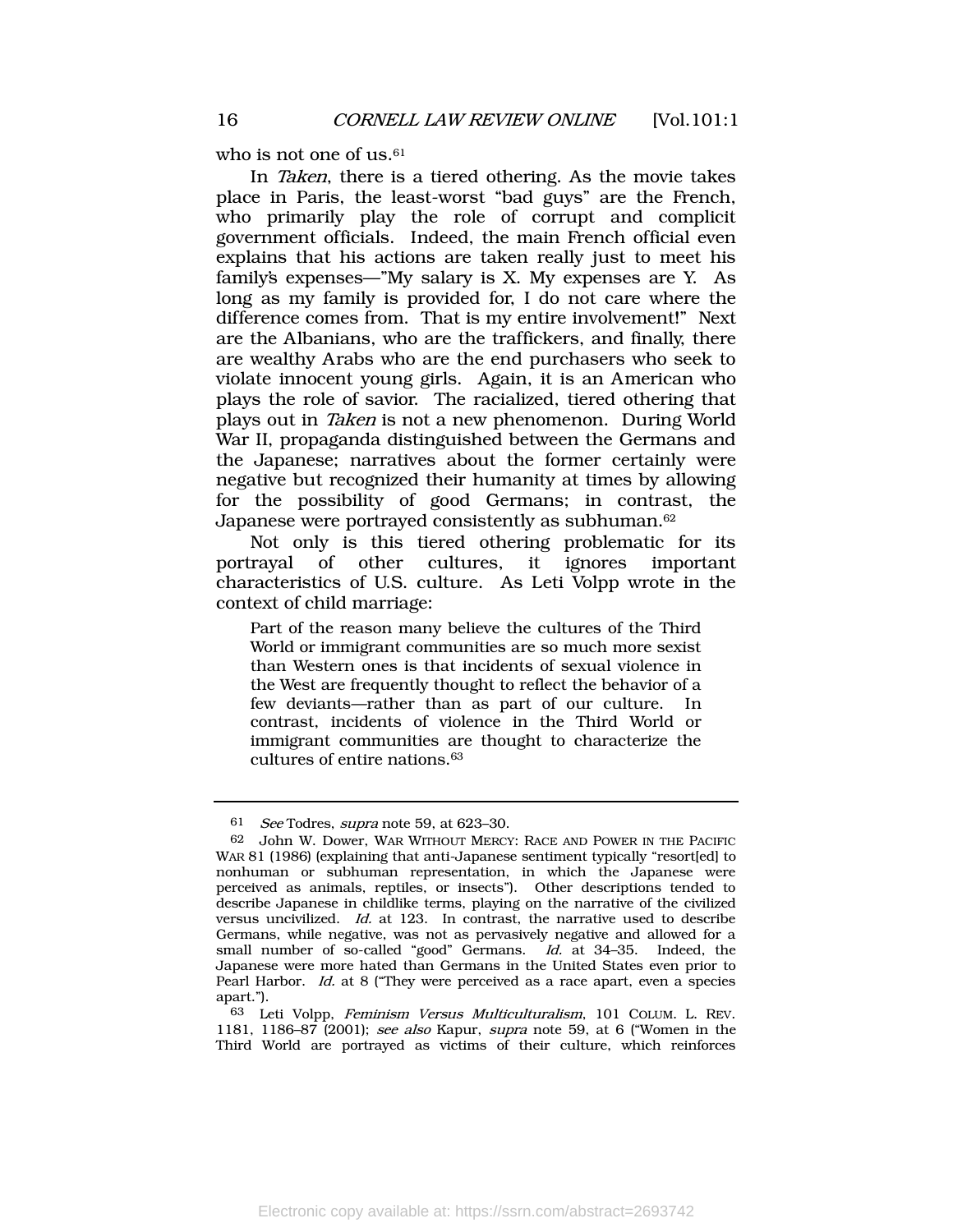who is not one of us.<sup>61</sup>

In Taken, there is a tiered othering. As the movie takes place in Paris, the least-worst "bad guys" are the French, who primarily play the role of corrupt and complicit government officials. Indeed, the main French official even explains that his actions are taken really just to meet his family's expenses—"My salary is X. My expenses are Y. As long as my family is provided for, I do not care where the difference comes from. That is my entire involvement!" Next are the Albanians, who are the traffickers, and finally, there are wealthy Arabs who are the end purchasers who seek to violate innocent young girls. Again, it is an American who plays the role of savior. The racialized, tiered othering that plays out in Taken is not a new phenomenon. During World War II, propaganda distinguished between the Germans and the Japanese; narratives about the former certainly were negative but recognized their humanity at times by allowing for the possibility of good Germans; in contrast, the Japanese were portrayed consistently as subhuman.<sup>62</sup>

Not only is this tiered othering problematic for its portrayal of other cultures, it ignores important characteristics of U.S. culture. As Leti Volpp wrote in the context of child marriage:

Part of the reason many believe the cultures of the Third World or immigrant communities are so much more sexist than Western ones is that incidents of sexual violence in the West are frequently thought to reflect the behavior of a few deviants—rather than as part of our culture. In contrast, incidents of violence in the Third World or immigrant communities are thought to characterize the cultures of entire nations.<sup>63</sup>

<sup>61</sup> See Todres, supra note [59,](#page-15-0) at 623–30.

<sup>62</sup> John W. Dower, WAR WITHOUT MERCY: RACE AND POWER IN THE PACIFIC WAR 81 (1986) (explaining that anti-Japanese sentiment typically "resort[ed] to nonhuman or subhuman representation, in which the Japanese were perceived as animals, reptiles, or insects"). Other descriptions tended to describe Japanese in childlike terms, playing on the narrative of the civilized versus uncivilized. Id. at 123. In contrast, the narrative used to describe Germans, while negative, was not as pervasively negative and allowed for a small number of so-called "good" Germans. Id. at 34–35. Indeed, the Japanese were more hated than Germans in the United States even prior to Pearl Harbor. Id. at 8 ("They were perceived as a race apart, even a species apart.").

<sup>63</sup> Leti Volpp, Feminism Versus Multiculturalism, 101 COLUM. L. REV. 1181, 1186–87 (2001); see also Kapur, supra note [59,](#page-15-0) at 6 ("Women in the Third World are portrayed as victims of their culture, which reinforces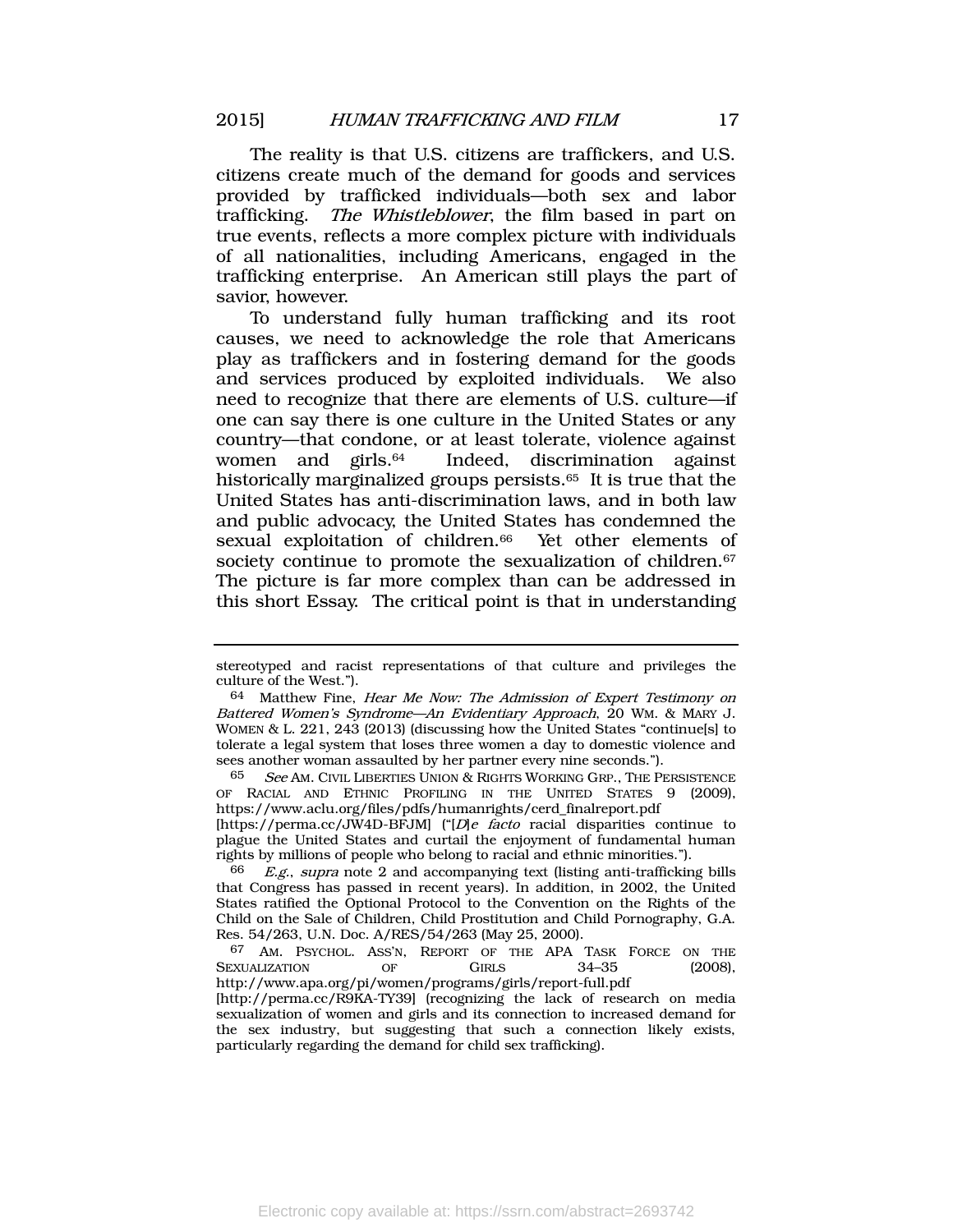The reality is that U.S. citizens are traffickers, and U.S. citizens create much of the demand for goods and services provided by trafficked individuals—both sex and labor trafficking. The Whistleblower, the film based in part on true events, reflects a more complex picture with individuals of all nationalities, including Americans, engaged in the trafficking enterprise. An American still plays the part of savior, however.

To understand fully human trafficking and its root causes, we need to acknowledge the role that Americans play as traffickers and in fostering demand for the goods and services produced by exploited individuals. We also need to recognize that there are elements of U.S. culture—if one can say there is one culture in the United States or any country—that condone, or at least tolerate, violence against women and girls. Indeed, discrimination against historically marginalized groups persists.<sup>65</sup> It is true that the United States has anti-discrimination laws, and in both law and public advocacy, the United States has condemned the sexual exploitation of children.<sup>66</sup> Yet other elements of society continue to promote the sexualization of children.<sup>67</sup> The picture is far more complex than can be addressed in this short Essay. The critical point is that in understanding

stereotyped and racist representations of that culture and privileges the culture of the West.").

<sup>64</sup> Matthew Fine, Hear Me Now: The Admission of Expert Testimony on Battered Women's Syndrome—An Evidentiary Approach, 20 WM. & MARY J. WOMEN & L. 221, 243 (2013) (discussing how the United States "continue[s] to tolerate a legal system that loses three women a day to domestic violence and sees another woman assaulted by her partner every nine seconds.").

 $65$  See AM. CIVIL LIBERTIES UNION & RIGHTS WORKING GRP., THE PERSISTENCE OF RACIAL AND ETHNIC PROFILING IN THE UNITED STATES 9 (2009), [https://www.aclu.org/files/pdfs/humanrights/cerd\\_finalreport.pdf](https://www.aclu.org/files/pdfs/humanrights/cerd_finalreport.pdf)

<sup>[</sup>https://perma.cc/JW4D-BFJM] ("[D]e facto racial disparities continue to plague the United States and curtail the enjoyment of fundamental human rights by millions of people who belong to racial and ethnic minorities.").

 $E.g., *supra* note 2 and accompanying text (listing anti-trafficking bills)$  $E.g., *supra* note 2 and accompanying text (listing anti-trafficking bills)$  $E.g., *supra* note 2 and accompanying text (listing anti-trafficking bills)$ that Congress has passed in recent years). In addition, in 2002, the United States ratified the Optional Protocol to the Convention on the Rights of the Child on the Sale of Children, Child Prostitution and Child Pornography, G.A. Res. 54/263, U.N. Doc. A/RES/54/263 (May 25, 2000).

<sup>67</sup> AM. PSYCHOL. ASS'N, REPORT OF THE APA TASK FORCE ON THE SEXUALIZATION OF GIRLS 34-35 (2008), http://www.apa.org/pi/women/programs/girls/report-full.pdf

<sup>[</sup>http://perma.cc/R9KA-TY39] (recognizing the lack of research on media sexualization of women and girls and its connection to increased demand for the sex industry, but suggesting that such a connection likely exists, particularly regarding the demand for child sex trafficking).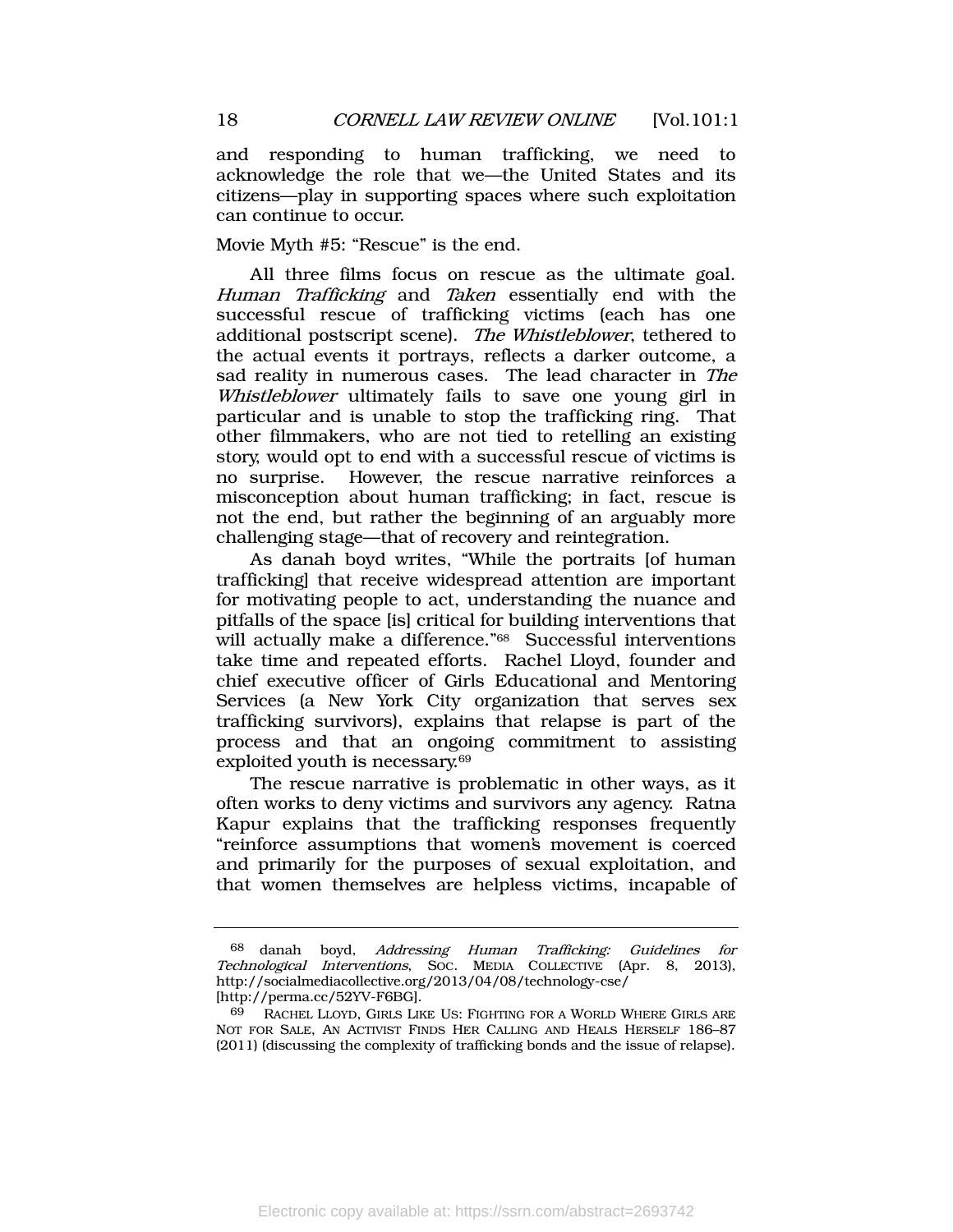and responding to human trafficking, we need to acknowledge the role that we—the United States and its citizens—play in supporting spaces where such exploitation can continue to occur.

Movie Myth #5: "Rescue" is the end.

All three films focus on rescue as the ultimate goal. Human Trafficking and Taken essentially end with the successful rescue of trafficking victims (each has one additional postscript scene). The Whistleblower, tethered to the actual events it portrays, reflects a darker outcome, a sad reality in numerous cases. The lead character in The Whistleblower ultimately fails to save one young girl in particular and is unable to stop the trafficking ring. That other filmmakers, who are not tied to retelling an existing story, would opt to end with a successful rescue of victims is no surprise. However, the rescue narrative reinforces a misconception about human trafficking; in fact, rescue is not the end, but rather the beginning of an arguably more challenging stage—that of recovery and reintegration.

As danah boyd writes, "While the portraits [of human trafficking] that receive widespread attention are important for motivating people to act, understanding the nuance and pitfalls of the space [is] critical for building interventions that will actually make a difference." <sup>68</sup> Successful interventions take time and repeated efforts. Rachel Lloyd, founder and chief executive officer of Girls Educational and Mentoring Services (a New York City organization that serves sex trafficking survivors), explains that relapse is part of the process and that an ongoing commitment to assisting exploited youth is necessary.<sup>69</sup>

The rescue narrative is problematic in other ways, as it often works to deny victims and survivors any agency. Ratna Kapur explains that the trafficking responses frequently "reinforce assumptions that women's movement is coerced and primarily for the purposes of sexual exploitation, and that women themselves are helpless victims, incapable of

<sup>68</sup> danah boyd, Addressing Human Trafficking: Guidelines for Technological Interventions, Soc. MEDIA COLLECTIVE (Apr. 8, 2013), <http://socialmediacollective.org/2013/04/08/technology-cse/> [http://perma.cc/52YV-F6BG].

<sup>69</sup> RACHEL LLOYD, GIRLS LIKE US: FIGHTING FOR A WORLD WHERE GIRLS ARE NOT FOR SALE, AN ACTIVIST FINDS HER CALLING AND HEALS HERSELF 186–87 (2011) (discussing the complexity of trafficking bonds and the issue of relapse).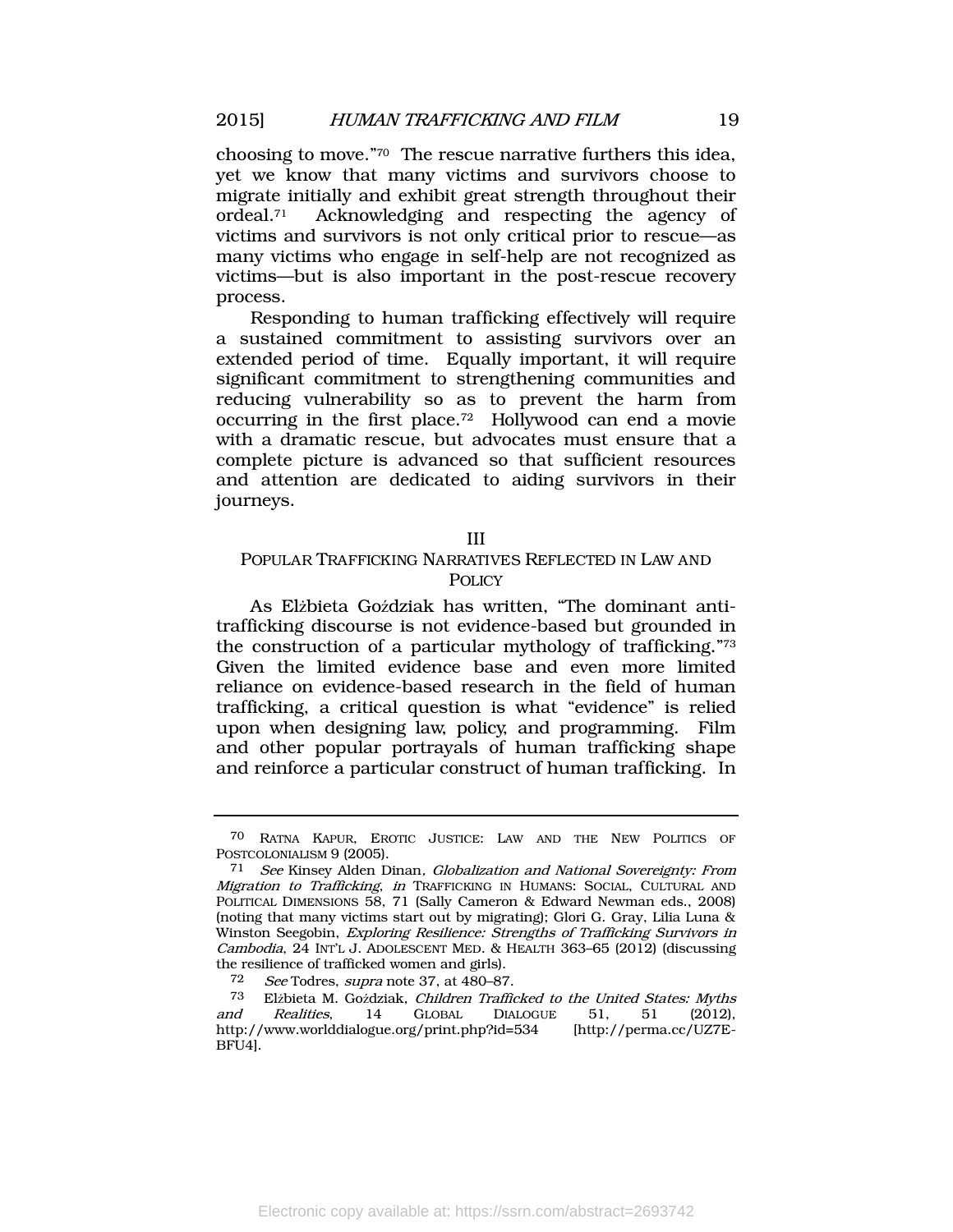choosing to move." <sup>70</sup> The rescue narrative furthers this idea, yet we know that many victims and survivors choose to migrate initially and exhibit great strength throughout their ordeal.<sup>71</sup> Acknowledging and respecting the agency of victims and survivors is not only critical prior to rescue—as many victims who engage in self-help are not recognized as victims—but is also important in the post-rescue recovery process.

Responding to human trafficking effectively will require a sustained commitment to assisting survivors over an extended period of time. Equally important, it will require significant commitment to strengthening communities and reducing vulnerability so as to prevent the harm from occurring in the first place.<sup>72</sup> Hollywood can end a movie with a dramatic rescue, but advocates must ensure that a complete picture is advanced so that sufficient resources and attention are dedicated to aiding survivors in their journeys.

III

# POPULAR TRAFFICKING NARRATIVES REFLECTED IN LAW AND **POLICY**

As Elżbieta Goździak has written, "The dominant antitrafficking discourse is not evidence-based but grounded in the construction of a particular mythology of trafficking." 73 Given the limited evidence base and even more limited reliance on evidence-based research in the field of human trafficking, a critical question is what "evidence" is relied upon when designing law, policy, and programming. Film and other popular portrayals of human trafficking shape and reinforce a particular construct of human trafficking. In

<sup>70</sup> RATNA KAPUR, EROTIC JUSTICE: LAW AND THE NEW POLITICS OF POSTCOLONIALISM 9 (2005).

<sup>71</sup> See Kinsey Alden Dinan, Globalization and National Sovereignty: From Migration to Trafficking, in TRAFFICKING IN HUMANS: SOCIAL, CULTURAL AND POLITICAL DIMENSIONS 58, 71 (Sally Cameron & Edward Newman eds., 2008) (noting that many victims start out by migrating); Glori G. Gray, Lilia Luna & Winston Seegobin, Exploring Resilience: Strengths of Trafficking Survivors in Cambodia, 24 INT'L J. ADOLESCENT MED. & HEALTH 363–65 (2012) (discussing the resilience of trafficked women and girls).

<sup>72</sup> See Todres, supra note [37,](#page-9-0) at 480-87.

<sup>73</sup> Elżbieta M. Goździak, Children Trafficked to the United States: Myths and Realities, 14 GLOBAL DIALOGUE 51, 51 (2012), http://www.worlddialogue.org/print.php?id=534 [http://perma.cc/UZ7E-BFU4].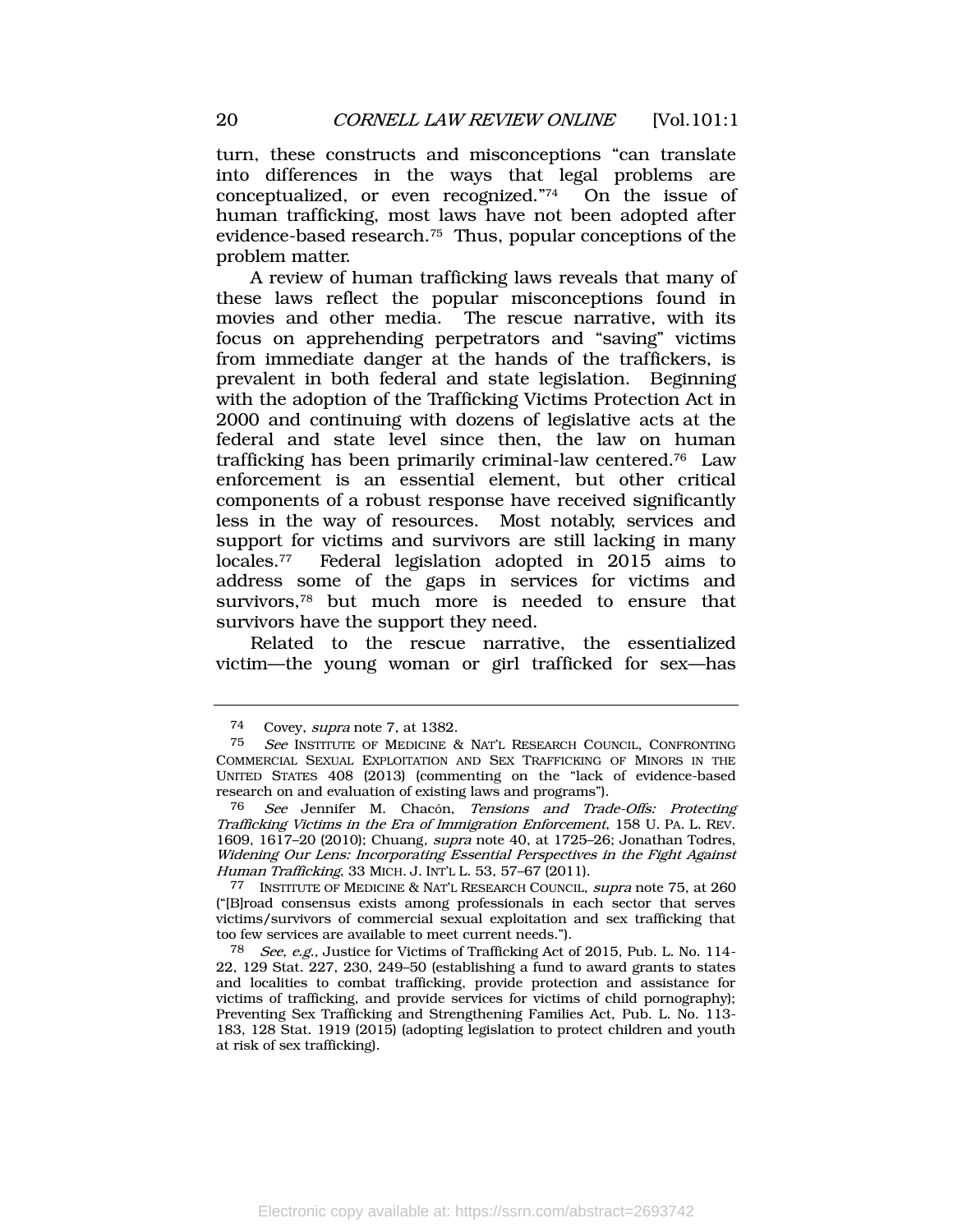turn, these constructs and misconceptions "can translate into differences in the ways that legal problems are conceptualized, or even recognized." On the issue of human trafficking, most laws have not been adopted after evidence-based research.<sup>75</sup> Thus, popular conceptions of the problem matter.

<span id="page-20-1"></span><span id="page-20-0"></span>A review of human trafficking laws reveals that many of these laws reflect the popular misconceptions found in movies and other media. The rescue narrative, with its focus on apprehending perpetrators and "saving" victims from immediate danger at the hands of the traffickers, is prevalent in both federal and state legislation. Beginning with the adoption of the Trafficking Victims Protection Act in 2000 and continuing with dozens of legislative acts at the federal and state level since then, the law on human trafficking has been primarily criminal-law centered.<sup>76</sup> Law enforcement is an essential element, but other critical components of a robust response have received significantly less in the way of resources. Most notably, services and support for victims and survivors are still lacking in many locales.<sup>77</sup> Federal legislation adopted in 2015 aims to address some of the gaps in services for victims and survivors,<sup>78</sup> but much more is needed to ensure that survivors have the support they need.

Related to the rescue narrative, the essentialized victim—the young woman or girl trafficked for sex—has

<sup>74</sup> Covey, *supra* note [7,](#page-2-1) at 1382.<br>75 See INSTITUTE OF MEDICINE 8

See INSTITUTE OF MEDICINE & NAT'L RESEARCH COUNCIL, CONFRONTING COMMERCIAL SEXUAL EXPLOITATION AND SEX TRAFFICKING OF MINORS IN THE UNITED STATES 408 (2013) (commenting on the "lack of evidence-based research on and evaluation of existing laws and programs").

<sup>76</sup> See Jennifer M. Chacón, Tensions and Trade-Offs: Protecting Trafficking Victims in the Era of Immigration Enforcement, 158 U. PA. L. REV. 1609, 1617-20 (2010); Chuang, *supra* note [40,](#page-9-1) at 1725-26; Jonathan Todres, Widening Our Lens: Incorporating Essential Perspectives in the Fight Against Human Trafficking, 33 MICH. J. INT'L L. 53, 57–67 (2011).

<sup>77</sup> INSTITUTE OF MEDICINE & NAT'L RESEARCH COUNCIL, supra note [75,](#page-20-0) at 260 ("[B]road consensus exists among professionals in each sector that serves victims/survivors of commercial sexual exploitation and sex trafficking that too few services are available to meet current needs.").

<sup>78</sup> See, e.g., Justice for Victims of Trafficking Act of 2015, Pub. L. No. 114- 22, 129 Stat. 227, 230, 249–50 (establishing a fund to award grants to states and localities to combat trafficking, provide protection and assistance for victims of trafficking, and provide services for victims of child pornography); Preventing Sex Trafficking and Strengthening Families Act, Pub. L. No. 113- 183, 128 Stat. 1919 (2015) (adopting legislation to protect children and youth at risk of sex trafficking).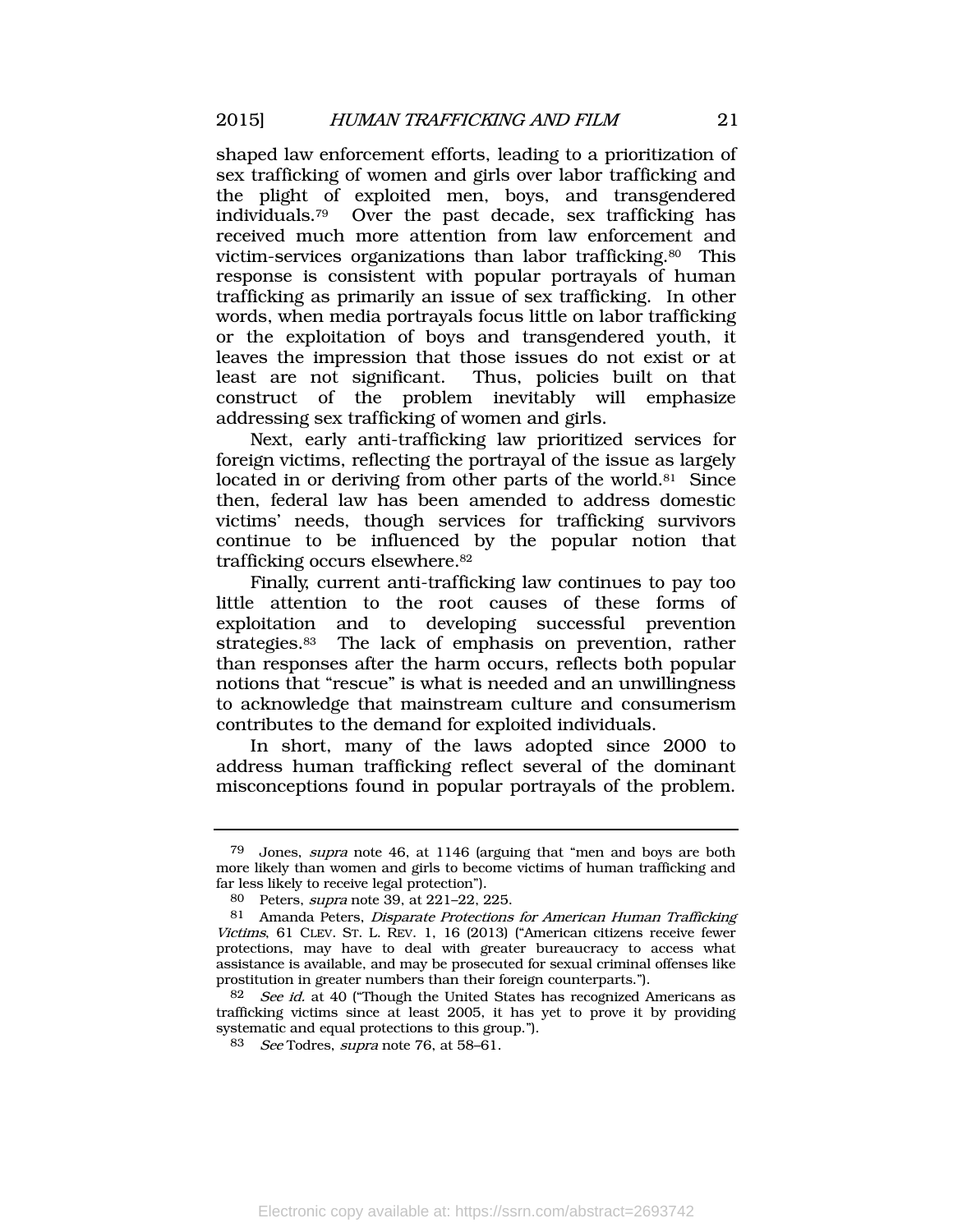shaped law enforcement efforts, leading to a prioritization of sex trafficking of women and girls over labor trafficking and the plight of exploited men, boys, and transgendered individuals.79 Over the past decade, sex trafficking has received much more attention from law enforcement and victim-services organizations than labor trafficking.<sup>80</sup> This response is consistent with popular portrayals of human trafficking as primarily an issue of sex trafficking. In other words, when media portrayals focus little on labor trafficking or the exploitation of boys and transgendered youth, it leaves the impression that those issues do not exist or at least are not significant. Thus, policies built on that construct of the problem inevitably will emphasize addressing sex trafficking of women and girls.

Next, early anti-trafficking law prioritized services for foreign victims, reflecting the portrayal of the issue as largely located in or deriving from other parts of the world.<sup>81</sup> Since then, federal law has been amended to address domestic victims' needs, though services for trafficking survivors continue to be influenced by the popular notion that trafficking occurs elsewhere.<sup>82</sup>

Finally, current anti-trafficking law continues to pay too little attention to the root causes of these forms of exploitation and to developing successful prevention strategies.<sup>83</sup> The lack of emphasis on prevention, rather than responses after the harm occurs, reflects both popular notions that "rescue" is what is needed and an unwillingness to acknowledge that mainstream culture and consumerism contributes to the demand for exploited individuals.

In short, many of the laws adopted since 2000 to address human trafficking reflect several of the dominant misconceptions found in popular portrayals of the problem.

<sup>79</sup> Jones, supra note [46,](#page-11-0) at 1146 (arguing that "men and boys are both more likely than women and girls to become victims of human trafficking and far less likely to receive legal protection").

<sup>80</sup> Peters, supra note [39,](#page-9-2) at 221–22, 225.

<sup>81</sup> Amanda Peters, Disparate Protections for American Human Trafficking Victims, 61 CLEV. ST. L. REV. 1, 16 (2013) ("American citizens receive fewer protections, may have to deal with greater bureaucracy to access what assistance is available, and may be prosecuted for sexual criminal offenses like prostitution in greater numbers than their foreign counterparts.").

 $82$  See id. at 40 ("Though the United States has recognized Americans as trafficking victims since at least 2005, it has yet to prove it by providing systematic and equal protections to this group.").

<sup>83</sup> See Todres, supra note [76,](#page-20-1) at 58-61.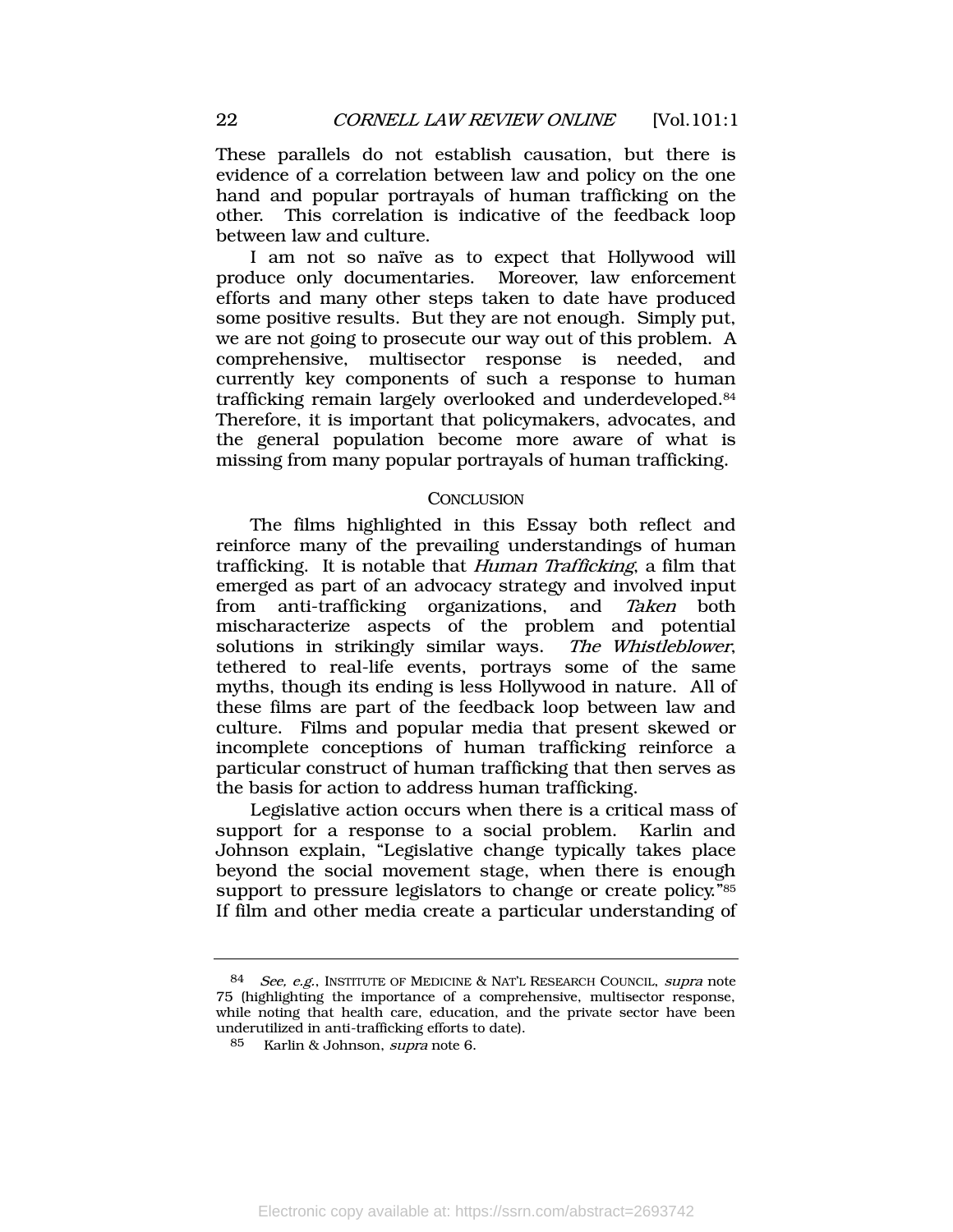These parallels do not establish causation, but there is evidence of a correlation between law and policy on the one hand and popular portrayals of human trafficking on the other. This correlation is indicative of the feedback loop between law and culture.

I am not so naïve as to expect that Hollywood will produce only documentaries. Moreover, law enforcement efforts and many other steps taken to date have produced some positive results. But they are not enough. Simply put, we are not going to prosecute our way out of this problem. A comprehensive, multisector response is needed, and currently key components of such a response to human trafficking remain largely overlooked and underdeveloped.<sup>84</sup> Therefore, it is important that policymakers, advocates, and the general population become more aware of what is missing from many popular portrayals of human trafficking.

#### **CONCLUSION**

The films highlighted in this Essay both reflect and reinforce many of the prevailing understandings of human trafficking. It is notable that Human Trafficking, a film that emerged as part of an advocacy strategy and involved input from anti-trafficking organizations, and Taken both mischaracterize aspects of the problem and potential solutions in strikingly similar ways. The Whistleblower, tethered to real-life events, portrays some of the same myths, though its ending is less Hollywood in nature. All of these films are part of the feedback loop between law and culture. Films and popular media that present skewed or incomplete conceptions of human trafficking reinforce a particular construct of human trafficking that then serves as the basis for action to address human trafficking.

Legislative action occurs when there is a critical mass of support for a response to a social problem. Karlin and Johnson explain, "Legislative change typically takes place beyond the social movement stage, when there is enough support to pressure legislators to change or create policy." 85 If film and other media create a particular understanding of

<sup>84</sup> See, e.g., INSTITUTE OF MEDICINE & NAT'L RESEARCH COUNCIL, supra note [75](#page-20-0) (highlighting the importance of a comprehensive, multisector response, while noting that health care, education, and the private sector have been underutilized in anti-trafficking efforts to date).

Karlin & Johnson, *supra* note [6.](#page-2-0)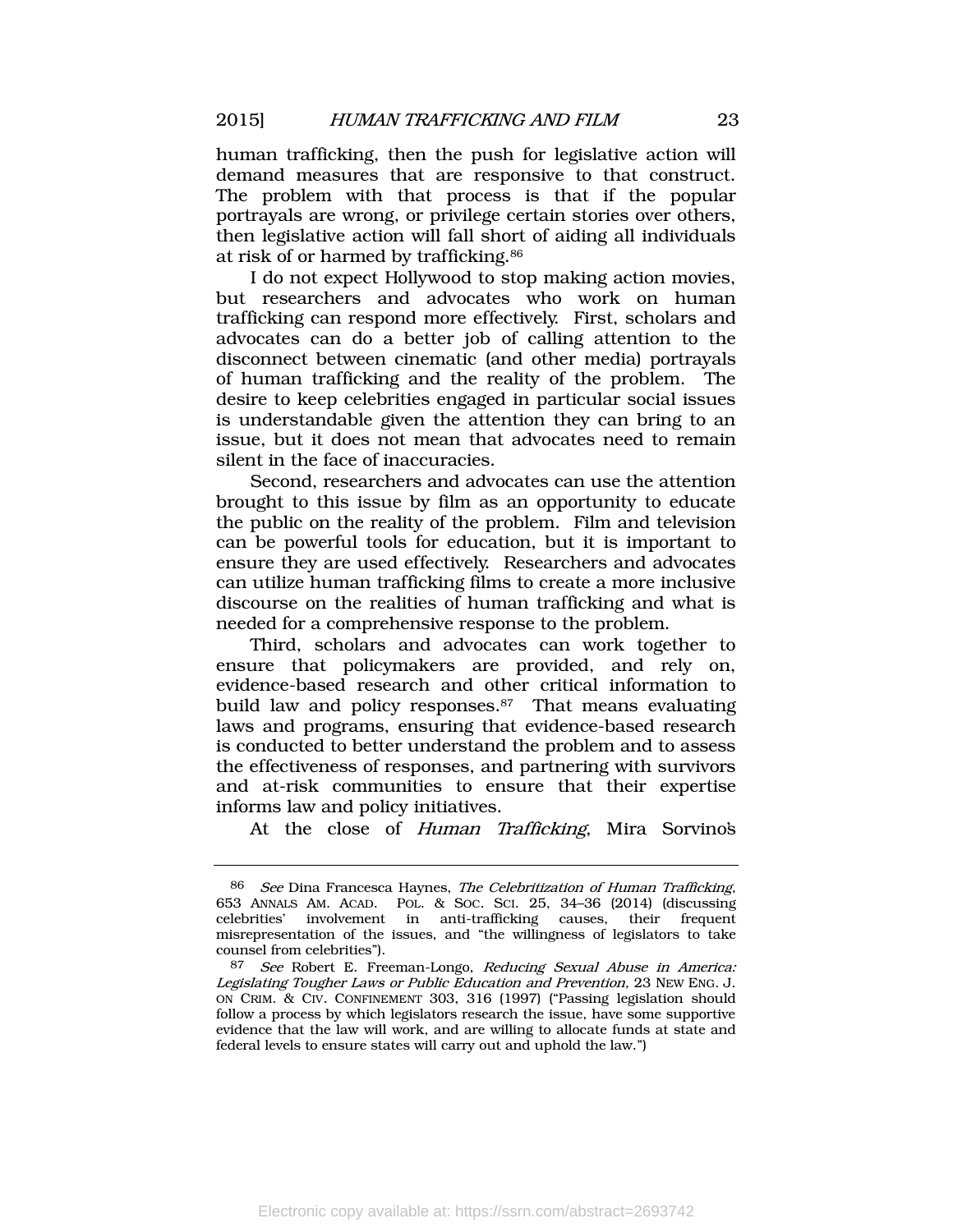human trafficking, then the push for legislative action will demand measures that are responsive to that construct. The problem with that process is that if the popular portrayals are wrong, or privilege certain stories over others, then legislative action will fall short of aiding all individuals at risk of or harmed by trafficking.<sup>86</sup>

I do not expect Hollywood to stop making action movies, but researchers and advocates who work on human trafficking can respond more effectively. First, scholars and advocates can do a better job of calling attention to the disconnect between cinematic (and other media) portrayals of human trafficking and the reality of the problem. The desire to keep celebrities engaged in particular social issues is understandable given the attention they can bring to an issue, but it does not mean that advocates need to remain silent in the face of inaccuracies.

Second, researchers and advocates can use the attention brought to this issue by film as an opportunity to educate the public on the reality of the problem. Film and television can be powerful tools for education, but it is important to ensure they are used effectively. Researchers and advocates can utilize human trafficking films to create a more inclusive discourse on the realities of human trafficking and what is needed for a comprehensive response to the problem.

Third, scholars and advocates can work together to ensure that policymakers are provided, and rely on, evidence-based research and other critical information to build law and policy responses.<sup>87</sup> That means evaluating laws and programs, ensuring that evidence-based research is conducted to better understand the problem and to assess the effectiveness of responses, and partnering with survivors and at-risk communities to ensure that their expertise informs law and policy initiatives.

At the close of Human Trafficking, Mira Sorvino's

<sup>86</sup> See Dina Francesca Haynes, The Celebritization of Human Trafficking, 653 ANNALS AM. ACAD. POL. & SOC. SCI. 25, 34–36 (2014) (discussing celebrities' involvement in anti-trafficking causes, their frequent misrepresentation of the issues, and "the willingness of legislators to take counsel from celebrities").

<sup>87</sup> See Robert E. Freeman-Longo, Reducing Sexual Abuse in America: Legislating Tougher Laws or Public Education and Prevention, 23 NEW ENG. J. ON CRIM. & CIV. CONFINEMENT 303, 316 (1997) ("Passing legislation should follow a process by which legislators research the issue, have some supportive evidence that the law will work, and are willing to allocate funds at state and federal levels to ensure states will carry out and uphold the law.")